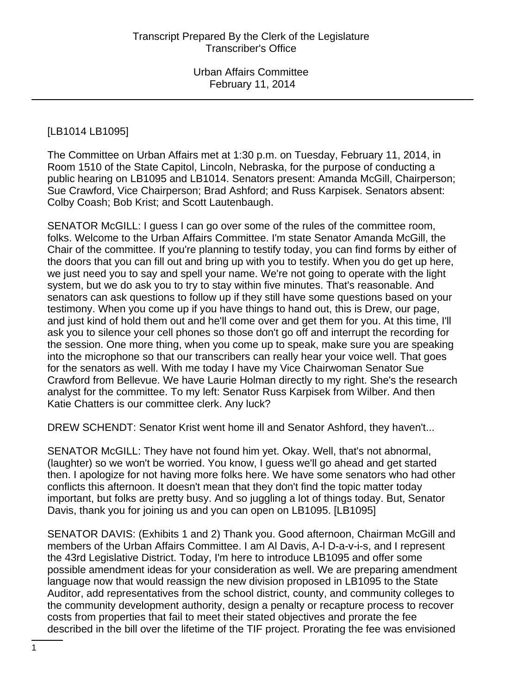# [LB1014 LB1095]

The Committee on Urban Affairs met at 1:30 p.m. on Tuesday, February 11, 2014, in Room 1510 of the State Capitol, Lincoln, Nebraska, for the purpose of conducting a public hearing on LB1095 and LB1014. Senators present: Amanda McGill, Chairperson; Sue Crawford, Vice Chairperson; Brad Ashford; and Russ Karpisek. Senators absent: Colby Coash; Bob Krist; and Scott Lautenbaugh.

SENATOR McGILL: I guess I can go over some of the rules of the committee room, folks. Welcome to the Urban Affairs Committee. I'm state Senator Amanda McGill, the Chair of the committee. If you're planning to testify today, you can find forms by either of the doors that you can fill out and bring up with you to testify. When you do get up here, we just need you to say and spell your name. We're not going to operate with the light system, but we do ask you to try to stay within five minutes. That's reasonable. And senators can ask questions to follow up if they still have some questions based on your testimony. When you come up if you have things to hand out, this is Drew, our page, and just kind of hold them out and he'll come over and get them for you. At this time, I'll ask you to silence your cell phones so those don't go off and interrupt the recording for the session. One more thing, when you come up to speak, make sure you are speaking into the microphone so that our transcribers can really hear your voice well. That goes for the senators as well. With me today I have my Vice Chairwoman Senator Sue Crawford from Bellevue. We have Laurie Holman directly to my right. She's the research analyst for the committee. To my left: Senator Russ Karpisek from Wilber. And then Katie Chatters is our committee clerk. Any luck?

DREW SCHENDT: Senator Krist went home ill and Senator Ashford, they haven't...

SENATOR McGILL: They have not found him yet. Okay. Well, that's not abnormal, (laughter) so we won't be worried. You know, I guess we'll go ahead and get started then. I apologize for not having more folks here. We have some senators who had other conflicts this afternoon. It doesn't mean that they don't find the topic matter today important, but folks are pretty busy. And so juggling a lot of things today. But, Senator Davis, thank you for joining us and you can open on LB1095. [LB1095]

SENATOR DAVIS: (Exhibits 1 and 2) Thank you. Good afternoon, Chairman McGill and members of the Urban Affairs Committee. I am Al Davis, A-l D-a-v-i-s, and I represent the 43rd Legislative District. Today, I'm here to introduce LB1095 and offer some possible amendment ideas for your consideration as well. We are preparing amendment language now that would reassign the new division proposed in LB1095 to the State Auditor, add representatives from the school district, county, and community colleges to the community development authority, design a penalty or recapture process to recover costs from properties that fail to meet their stated objectives and prorate the fee described in the bill over the lifetime of the TIF project. Prorating the fee was envisioned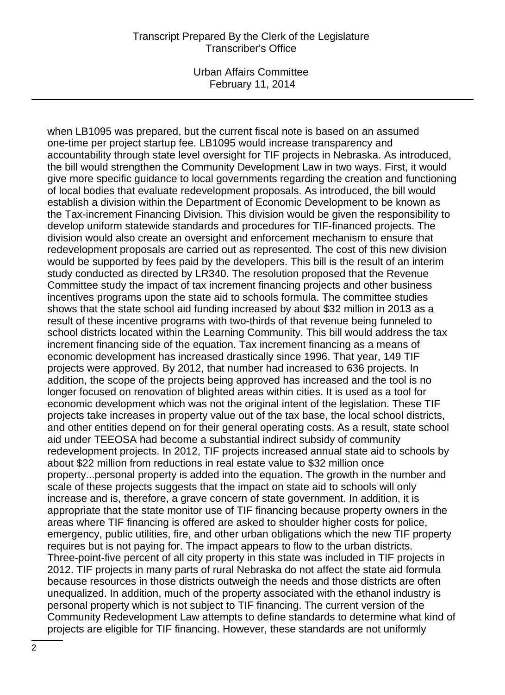Urban Affairs Committee February 11, 2014

when LB1095 was prepared, but the current fiscal note is based on an assumed one-time per project startup fee. LB1095 would increase transparency and accountability through state level oversight for TIF projects in Nebraska. As introduced, the bill would strengthen the Community Development Law in two ways. First, it would give more specific guidance to local governments regarding the creation and functioning of local bodies that evaluate redevelopment proposals. As introduced, the bill would establish a division within the Department of Economic Development to be known as the Tax-increment Financing Division. This division would be given the responsibility to develop uniform statewide standards and procedures for TIF-financed projects. The division would also create an oversight and enforcement mechanism to ensure that redevelopment proposals are carried out as represented. The cost of this new division would be supported by fees paid by the developers. This bill is the result of an interim study conducted as directed by LR340. The resolution proposed that the Revenue Committee study the impact of tax increment financing projects and other business incentives programs upon the state aid to schools formula. The committee studies shows that the state school aid funding increased by about \$32 million in 2013 as a result of these incentive programs with two-thirds of that revenue being funneled to school districts located within the Learning Community. This bill would address the tax increment financing side of the equation. Tax increment financing as a means of economic development has increased drastically since 1996. That year, 149 TIF projects were approved. By 2012, that number had increased to 636 projects. In addition, the scope of the projects being approved has increased and the tool is no longer focused on renovation of blighted areas within cities. It is used as a tool for economic development which was not the original intent of the legislation. These TIF projects take increases in property value out of the tax base, the local school districts, and other entities depend on for their general operating costs. As a result, state school aid under TEEOSA had become a substantial indirect subsidy of community redevelopment projects. In 2012, TIF projects increased annual state aid to schools by about \$22 million from reductions in real estate value to \$32 million once property...personal property is added into the equation. The growth in the number and scale of these projects suggests that the impact on state aid to schools will only increase and is, therefore, a grave concern of state government. In addition, it is appropriate that the state monitor use of TIF financing because property owners in the areas where TIF financing is offered are asked to shoulder higher costs for police, emergency, public utilities, fire, and other urban obligations which the new TIF property requires but is not paying for. The impact appears to flow to the urban districts. Three-point-five percent of all city property in this state was included in TIF projects in 2012. TIF projects in many parts of rural Nebraska do not affect the state aid formula because resources in those districts outweigh the needs and those districts are often unequalized. In addition, much of the property associated with the ethanol industry is personal property which is not subject to TIF financing. The current version of the Community Redevelopment Law attempts to define standards to determine what kind of projects are eligible for TIF financing. However, these standards are not uniformly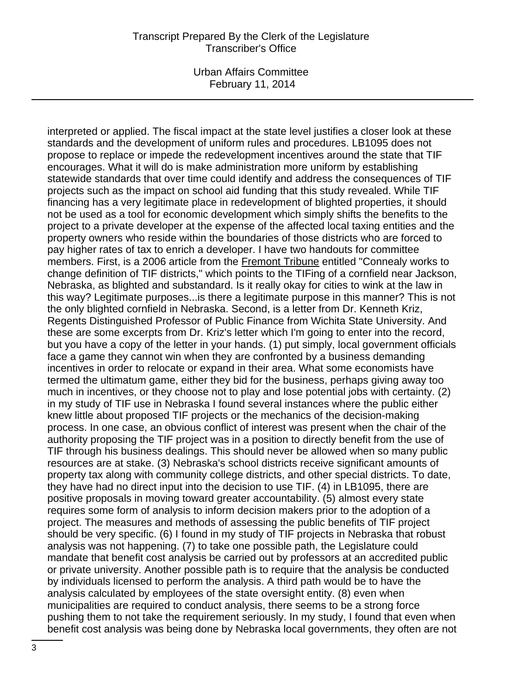Urban Affairs Committee February 11, 2014

interpreted or applied. The fiscal impact at the state level justifies a closer look at these standards and the development of uniform rules and procedures. LB1095 does not propose to replace or impede the redevelopment incentives around the state that TIF encourages. What it will do is make administration more uniform by establishing statewide standards that over time could identify and address the consequences of TIF projects such as the impact on school aid funding that this study revealed. While TIF financing has a very legitimate place in redevelopment of blighted properties, it should not be used as a tool for economic development which simply shifts the benefits to the project to a private developer at the expense of the affected local taxing entities and the property owners who reside within the boundaries of those districts who are forced to pay higher rates of tax to enrich a developer. I have two handouts for committee members. First, is a 2006 article from the Fremont Tribune entitled "Connealy works to change definition of TIF districts," which points to the TIFing of a cornfield near Jackson, Nebraska, as blighted and substandard. Is it really okay for cities to wink at the law in this way? Legitimate purposes...is there a legitimate purpose in this manner? This is not the only blighted cornfield in Nebraska. Second, is a letter from Dr. Kenneth Kriz, Regents Distinguished Professor of Public Finance from Wichita State University. And these are some excerpts from Dr. Kriz's letter which I'm going to enter into the record, but you have a copy of the letter in your hands. (1) put simply, local government officials face a game they cannot win when they are confronted by a business demanding incentives in order to relocate or expand in their area. What some economists have termed the ultimatum game, either they bid for the business, perhaps giving away too much in incentives, or they choose not to play and lose potential jobs with certainty. (2) in my study of TIF use in Nebraska I found several instances where the public either knew little about proposed TIF projects or the mechanics of the decision-making process. In one case, an obvious conflict of interest was present when the chair of the authority proposing the TIF project was in a position to directly benefit from the use of TIF through his business dealings. This should never be allowed when so many public resources are at stake. (3) Nebraska's school districts receive significant amounts of property tax along with community college districts, and other special districts. To date, they have had no direct input into the decision to use TIF. (4) in LB1095, there are positive proposals in moving toward greater accountability. (5) almost every state requires some form of analysis to inform decision makers prior to the adoption of a project. The measures and methods of assessing the public benefits of TIF project should be very specific. (6) I found in my study of TIF projects in Nebraska that robust analysis was not happening. (7) to take one possible path, the Legislature could mandate that benefit cost analysis be carried out by professors at an accredited public or private university. Another possible path is to require that the analysis be conducted by individuals licensed to perform the analysis. A third path would be to have the analysis calculated by employees of the state oversight entity. (8) even when municipalities are required to conduct analysis, there seems to be a strong force pushing them to not take the requirement seriously. In my study, I found that even when benefit cost analysis was being done by Nebraska local governments, they often are not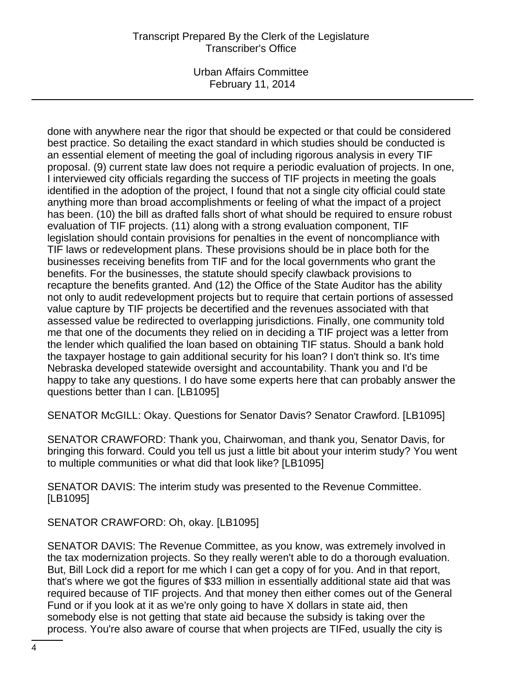Urban Affairs Committee February 11, 2014

done with anywhere near the rigor that should be expected or that could be considered best practice. So detailing the exact standard in which studies should be conducted is an essential element of meeting the goal of including rigorous analysis in every TIF proposal. (9) current state law does not require a periodic evaluation of projects. In one, I interviewed city officials regarding the success of TIF projects in meeting the goals identified in the adoption of the project, I found that not a single city official could state anything more than broad accomplishments or feeling of what the impact of a project has been. (10) the bill as drafted falls short of what should be required to ensure robust evaluation of TIF projects. (11) along with a strong evaluation component, TIF legislation should contain provisions for penalties in the event of noncompliance with TIF laws or redevelopment plans. These provisions should be in place both for the businesses receiving benefits from TIF and for the local governments who grant the benefits. For the businesses, the statute should specify clawback provisions to recapture the benefits granted. And (12) the Office of the State Auditor has the ability not only to audit redevelopment projects but to require that certain portions of assessed value capture by TIF projects be decertified and the revenues associated with that assessed value be redirected to overlapping jurisdictions. Finally, one community told me that one of the documents they relied on in deciding a TIF project was a letter from the lender which qualified the loan based on obtaining TIF status. Should a bank hold the taxpayer hostage to gain additional security for his loan? I don't think so. It's time Nebraska developed statewide oversight and accountability. Thank you and I'd be happy to take any questions. I do have some experts here that can probably answer the questions better than I can. [LB1095]

SENATOR McGILL: Okay. Questions for Senator Davis? Senator Crawford. [LB1095]

SENATOR CRAWFORD: Thank you, Chairwoman, and thank you, Senator Davis, for bringing this forward. Could you tell us just a little bit about your interim study? You went to multiple communities or what did that look like? [LB1095]

SENATOR DAVIS: The interim study was presented to the Revenue Committee. [LB1095]

SENATOR CRAWFORD: Oh, okay. [LB1095]

SENATOR DAVIS: The Revenue Committee, as you know, was extremely involved in the tax modernization projects. So they really weren't able to do a thorough evaluation. But, Bill Lock did a report for me which I can get a copy of for you. And in that report, that's where we got the figures of \$33 million in essentially additional state aid that was required because of TIF projects. And that money then either comes out of the General Fund or if you look at it as we're only going to have X dollars in state aid, then somebody else is not getting that state aid because the subsidy is taking over the process. You're also aware of course that when projects are TIFed, usually the city is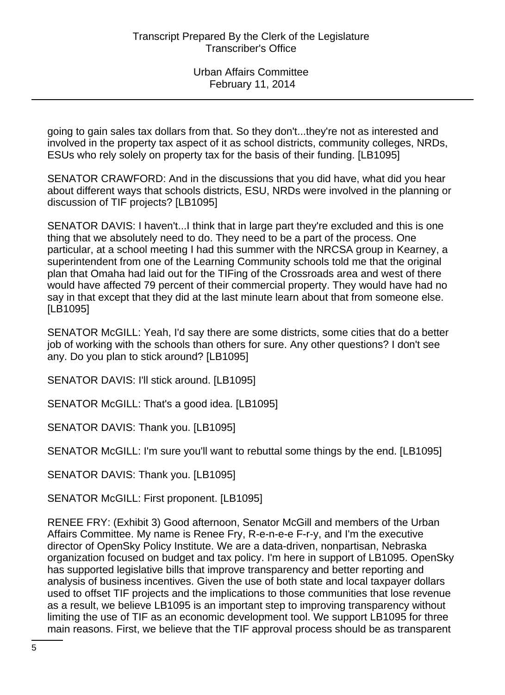going to gain sales tax dollars from that. So they don't...they're not as interested and involved in the property tax aspect of it as school districts, community colleges, NRDs, ESUs who rely solely on property tax for the basis of their funding. [LB1095]

SENATOR CRAWFORD: And in the discussions that you did have, what did you hear about different ways that schools districts, ESU, NRDs were involved in the planning or discussion of TIF projects? [LB1095]

SENATOR DAVIS: I haven't...I think that in large part they're excluded and this is one thing that we absolutely need to do. They need to be a part of the process. One particular, at a school meeting I had this summer with the NRCSA group in Kearney, a superintendent from one of the Learning Community schools told me that the original plan that Omaha had laid out for the TIFing of the Crossroads area and west of there would have affected 79 percent of their commercial property. They would have had no say in that except that they did at the last minute learn about that from someone else. [LB1095]

SENATOR McGILL: Yeah, I'd say there are some districts, some cities that do a better job of working with the schools than others for sure. Any other questions? I don't see any. Do you plan to stick around? [LB1095]

SENATOR DAVIS: I'll stick around. [LB1095]

SENATOR McGILL: That's a good idea. [LB1095]

SENATOR DAVIS: Thank you. [LB1095]

SENATOR McGILL: I'm sure you'll want to rebuttal some things by the end. [LB1095]

SENATOR DAVIS: Thank you. [LB1095]

SENATOR McGILL: First proponent. [LB1095]

RENEE FRY: (Exhibit 3) Good afternoon, Senator McGill and members of the Urban Affairs Committee. My name is Renee Fry, R-e-n-e-e F-r-y, and I'm the executive director of OpenSky Policy Institute. We are a data-driven, nonpartisan, Nebraska organization focused on budget and tax policy. I'm here in support of LB1095. OpenSky has supported legislative bills that improve transparency and better reporting and analysis of business incentives. Given the use of both state and local taxpayer dollars used to offset TIF projects and the implications to those communities that lose revenue as a result, we believe LB1095 is an important step to improving transparency without limiting the use of TIF as an economic development tool. We support LB1095 for three main reasons. First, we believe that the TIF approval process should be as transparent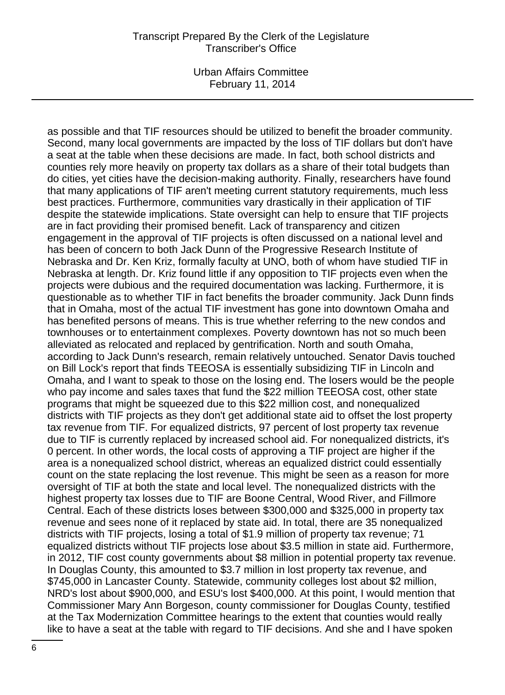Urban Affairs Committee February 11, 2014

as possible and that TIF resources should be utilized to benefit the broader community. Second, many local governments are impacted by the loss of TIF dollars but don't have a seat at the table when these decisions are made. In fact, both school districts and counties rely more heavily on property tax dollars as a share of their total budgets than do cities, yet cities have the decision-making authority. Finally, researchers have found that many applications of TIF aren't meeting current statutory requirements, much less best practices. Furthermore, communities vary drastically in their application of TIF despite the statewide implications. State oversight can help to ensure that TIF projects are in fact providing their promised benefit. Lack of transparency and citizen engagement in the approval of TIF projects is often discussed on a national level and has been of concern to both Jack Dunn of the Progressive Research Institute of Nebraska and Dr. Ken Kriz, formally faculty at UNO, both of whom have studied TIF in Nebraska at length. Dr. Kriz found little if any opposition to TIF projects even when the projects were dubious and the required documentation was lacking. Furthermore, it is questionable as to whether TIF in fact benefits the broader community. Jack Dunn finds that in Omaha, most of the actual TIF investment has gone into downtown Omaha and has benefited persons of means. This is true whether referring to the new condos and townhouses or to entertainment complexes. Poverty downtown has not so much been alleviated as relocated and replaced by gentrification. North and south Omaha, according to Jack Dunn's research, remain relatively untouched. Senator Davis touched on Bill Lock's report that finds TEEOSA is essentially subsidizing TIF in Lincoln and Omaha, and I want to speak to those on the losing end. The losers would be the people who pay income and sales taxes that fund the \$22 million TEEOSA cost, other state programs that might be squeezed due to this \$22 million cost, and nonequalized districts with TIF projects as they don't get additional state aid to offset the lost property tax revenue from TIF. For equalized districts, 97 percent of lost property tax revenue due to TIF is currently replaced by increased school aid. For nonequalized districts, it's 0 percent. In other words, the local costs of approving a TIF project are higher if the area is a nonequalized school district, whereas an equalized district could essentially count on the state replacing the lost revenue. This might be seen as a reason for more oversight of TIF at both the state and local level. The nonequalized districts with the highest property tax losses due to TIF are Boone Central, Wood River, and Fillmore Central. Each of these districts loses between \$300,000 and \$325,000 in property tax revenue and sees none of it replaced by state aid. In total, there are 35 nonequalized districts with TIF projects, losing a total of \$1.9 million of property tax revenue; 71 equalized districts without TIF projects lose about \$3.5 million in state aid. Furthermore, in 2012, TIF cost county governments about \$8 million in potential property tax revenue. In Douglas County, this amounted to \$3.7 million in lost property tax revenue, and \$745,000 in Lancaster County. Statewide, community colleges lost about \$2 million, NRD's lost about \$900,000, and ESU's lost \$400,000. At this point, I would mention that Commissioner Mary Ann Borgeson, county commissioner for Douglas County, testified at the Tax Modernization Committee hearings to the extent that counties would really like to have a seat at the table with regard to TIF decisions. And she and I have spoken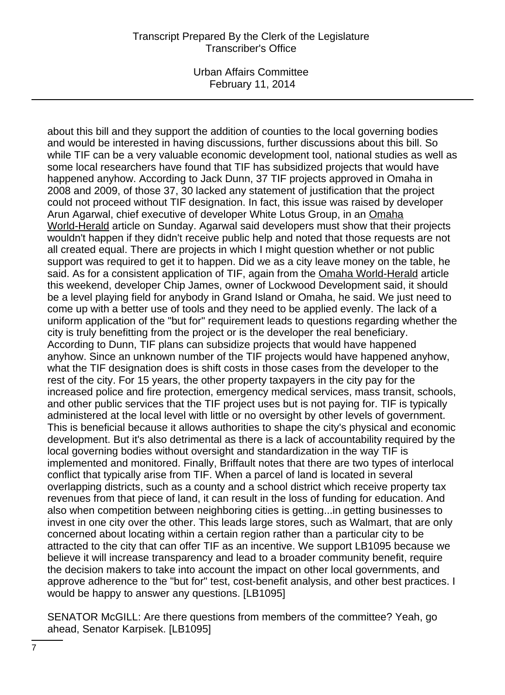Urban Affairs Committee February 11, 2014

about this bill and they support the addition of counties to the local governing bodies and would be interested in having discussions, further discussions about this bill. So while TIF can be a very valuable economic development tool, national studies as well as some local researchers have found that TIF has subsidized projects that would have happened anyhow. According to Jack Dunn, 37 TIF projects approved in Omaha in 2008 and 2009, of those 37, 30 lacked any statement of justification that the project could not proceed without TIF designation. In fact, this issue was raised by developer Arun Agarwal, chief executive of developer White Lotus Group, in an Omaha World-Herald article on Sunday. Agarwal said developers must show that their projects wouldn't happen if they didn't receive public help and noted that those requests are not all created equal. There are projects in which I might question whether or not public support was required to get it to happen. Did we as a city leave money on the table, he said. As for a consistent application of TIF, again from the Omaha World-Herald article this weekend, developer Chip James, owner of Lockwood Development said, it should be a level playing field for anybody in Grand Island or Omaha, he said. We just need to come up with a better use of tools and they need to be applied evenly. The lack of a uniform application of the "but for" requirement leads to questions regarding whether the city is truly benefitting from the project or is the developer the real beneficiary. According to Dunn, TIF plans can subsidize projects that would have happened anyhow. Since an unknown number of the TIF projects would have happened anyhow, what the TIF designation does is shift costs in those cases from the developer to the rest of the city. For 15 years, the other property taxpayers in the city pay for the increased police and fire protection, emergency medical services, mass transit, schools, and other public services that the TIF project uses but is not paying for. TIF is typically administered at the local level with little or no oversight by other levels of government. This is beneficial because it allows authorities to shape the city's physical and economic development. But it's also detrimental as there is a lack of accountability required by the local governing bodies without oversight and standardization in the way TIF is implemented and monitored. Finally, Briffault notes that there are two types of interlocal conflict that typically arise from TIF. When a parcel of land is located in several overlapping districts, such as a county and a school district which receive property tax revenues from that piece of land, it can result in the loss of funding for education. And also when competition between neighboring cities is getting...in getting businesses to invest in one city over the other. This leads large stores, such as Walmart, that are only concerned about locating within a certain region rather than a particular city to be attracted to the city that can offer TIF as an incentive. We support LB1095 because we believe it will increase transparency and lead to a broader community benefit, require the decision makers to take into account the impact on other local governments, and approve adherence to the "but for" test, cost-benefit analysis, and other best practices. I would be happy to answer any questions. [LB1095]

SENATOR McGILL: Are there questions from members of the committee? Yeah, go ahead, Senator Karpisek. [LB1095]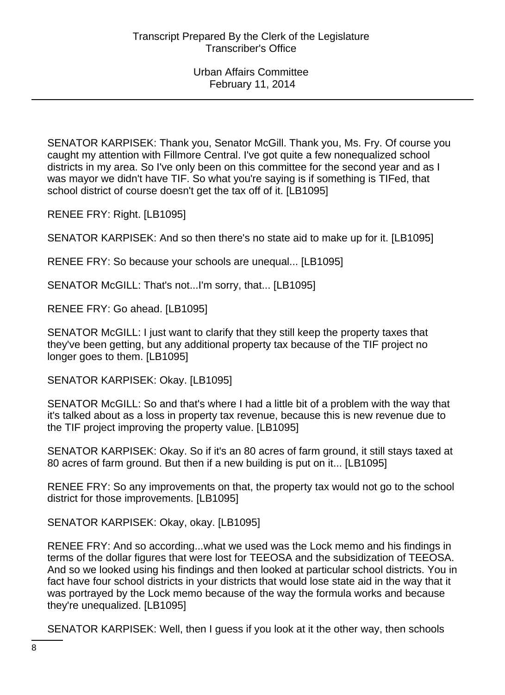SENATOR KARPISEK: Thank you, Senator McGill. Thank you, Ms. Fry. Of course you caught my attention with Fillmore Central. I've got quite a few nonequalized school districts in my area. So I've only been on this committee for the second year and as I was mayor we didn't have TIF. So what you're saying is if something is TIFed, that school district of course doesn't get the tax off of it. [LB1095]

RENEE FRY: Right. [LB1095]

SENATOR KARPISEK: And so then there's no state aid to make up for it. [LB1095]

RENEE FRY: So because your schools are unequal... [LB1095]

SENATOR McGILL: That's not...I'm sorry, that... [LB1095]

RENEE FRY: Go ahead. [LB1095]

SENATOR McGILL: I just want to clarify that they still keep the property taxes that they've been getting, but any additional property tax because of the TIF project no longer goes to them. [LB1095]

SENATOR KARPISEK: Okay. [LB1095]

SENATOR McGILL: So and that's where I had a little bit of a problem with the way that it's talked about as a loss in property tax revenue, because this is new revenue due to the TIF project improving the property value. [LB1095]

SENATOR KARPISEK: Okay. So if it's an 80 acres of farm ground, it still stays taxed at 80 acres of farm ground. But then if a new building is put on it... [LB1095]

RENEE FRY: So any improvements on that, the property tax would not go to the school district for those improvements. [LB1095]

SENATOR KARPISEK: Okay, okay. [LB1095]

RENEE FRY: And so according...what we used was the Lock memo and his findings in terms of the dollar figures that were lost for TEEOSA and the subsidization of TEEOSA. And so we looked using his findings and then looked at particular school districts. You in fact have four school districts in your districts that would lose state aid in the way that it was portrayed by the Lock memo because of the way the formula works and because they're unequalized. [LB1095]

SENATOR KARPISEK: Well, then I guess if you look at it the other way, then schools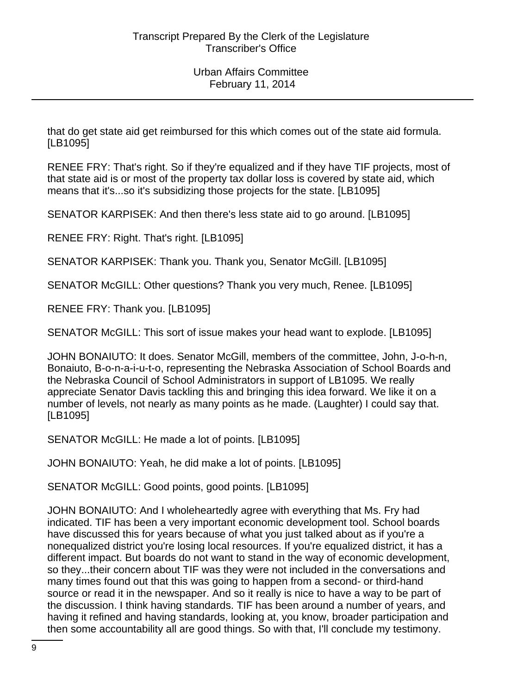that do get state aid get reimbursed for this which comes out of the state aid formula. [LB1095]

RENEE FRY: That's right. So if they're equalized and if they have TIF projects, most of that state aid is or most of the property tax dollar loss is covered by state aid, which means that it's...so it's subsidizing those projects for the state. [LB1095]

SENATOR KARPISEK: And then there's less state aid to go around. [LB1095]

RENEE FRY: Right. That's right. [LB1095]

SENATOR KARPISEK: Thank you. Thank you, Senator McGill. [LB1095]

SENATOR McGILL: Other questions? Thank you very much, Renee. [LB1095]

RENEE FRY: Thank you. [LB1095]

SENATOR McGILL: This sort of issue makes your head want to explode. [LB1095]

JOHN BONAIUTO: It does. Senator McGill, members of the committee, John, J-o-h-n, Bonaiuto, B-o-n-a-i-u-t-o, representing the Nebraska Association of School Boards and the Nebraska Council of School Administrators in support of LB1095. We really appreciate Senator Davis tackling this and bringing this idea forward. We like it on a number of levels, not nearly as many points as he made. (Laughter) I could say that. [LB1095]

SENATOR McGILL: He made a lot of points. [LB1095]

JOHN BONAIUTO: Yeah, he did make a lot of points. [LB1095]

SENATOR McGILL: Good points, good points. [LB1095]

JOHN BONAIUTO: And I wholeheartedly agree with everything that Ms. Fry had indicated. TIF has been a very important economic development tool. School boards have discussed this for years because of what you just talked about as if you're a nonequalized district you're losing local resources. If you're equalized district, it has a different impact. But boards do not want to stand in the way of economic development, so they...their concern about TIF was they were not included in the conversations and many times found out that this was going to happen from a second- or third-hand source or read it in the newspaper. And so it really is nice to have a way to be part of the discussion. I think having standards. TIF has been around a number of years, and having it refined and having standards, looking at, you know, broader participation and then some accountability all are good things. So with that, I'll conclude my testimony.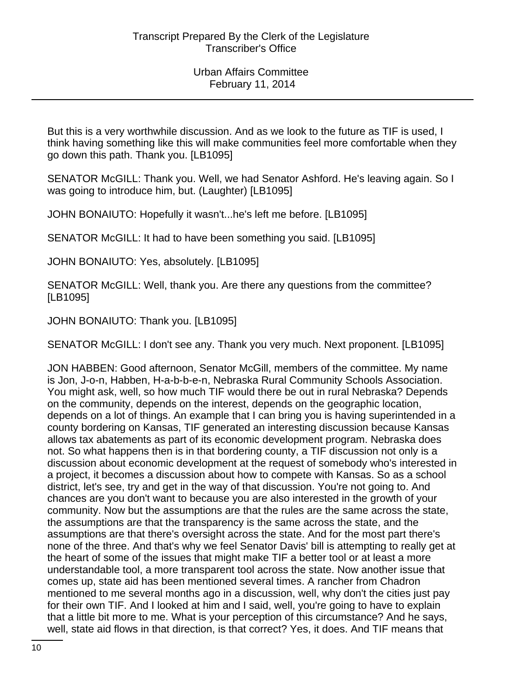But this is a very worthwhile discussion. And as we look to the future as TIF is used, I think having something like this will make communities feel more comfortable when they go down this path. Thank you. [LB1095]

SENATOR McGILL: Thank you. Well, we had Senator Ashford. He's leaving again. So I was going to introduce him, but. (Laughter) [LB1095]

JOHN BONAIUTO: Hopefully it wasn't...he's left me before. [LB1095]

SENATOR McGILL: It had to have been something you said. [LB1095]

JOHN BONAIUTO: Yes, absolutely. [LB1095]

SENATOR McGILL: Well, thank you. Are there any questions from the committee? [LB1095]

JOHN BONAIUTO: Thank you. [LB1095]

SENATOR McGILL: I don't see any. Thank you very much. Next proponent. [LB1095]

JON HABBEN: Good afternoon, Senator McGill, members of the committee. My name is Jon, J-o-n, Habben, H-a-b-b-e-n, Nebraska Rural Community Schools Association. You might ask, well, so how much TIF would there be out in rural Nebraska? Depends on the community, depends on the interest, depends on the geographic location, depends on a lot of things. An example that I can bring you is having superintended in a county bordering on Kansas, TIF generated an interesting discussion because Kansas allows tax abatements as part of its economic development program. Nebraska does not. So what happens then is in that bordering county, a TIF discussion not only is a discussion about economic development at the request of somebody who's interested in a project, it becomes a discussion about how to compete with Kansas. So as a school district, let's see, try and get in the way of that discussion. You're not going to. And chances are you don't want to because you are also interested in the growth of your community. Now but the assumptions are that the rules are the same across the state, the assumptions are that the transparency is the same across the state, and the assumptions are that there's oversight across the state. And for the most part there's none of the three. And that's why we feel Senator Davis' bill is attempting to really get at the heart of some of the issues that might make TIF a better tool or at least a more understandable tool, a more transparent tool across the state. Now another issue that comes up, state aid has been mentioned several times. A rancher from Chadron mentioned to me several months ago in a discussion, well, why don't the cities just pay for their own TIF. And I looked at him and I said, well, you're going to have to explain that a little bit more to me. What is your perception of this circumstance? And he says, well, state aid flows in that direction, is that correct? Yes, it does. And TIF means that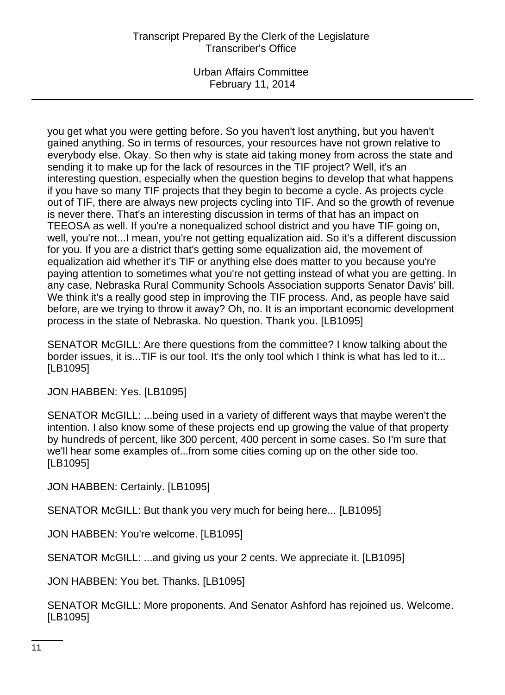Urban Affairs Committee February 11, 2014

you get what you were getting before. So you haven't lost anything, but you haven't gained anything. So in terms of resources, your resources have not grown relative to everybody else. Okay. So then why is state aid taking money from across the state and sending it to make up for the lack of resources in the TIF project? Well, it's an interesting question, especially when the question begins to develop that what happens if you have so many TIF projects that they begin to become a cycle. As projects cycle out of TIF, there are always new projects cycling into TIF. And so the growth of revenue is never there. That's an interesting discussion in terms of that has an impact on TEEOSA as well. If you're a nonequalized school district and you have TIF going on, well, you're not...I mean, you're not getting equalization aid. So it's a different discussion for you. If you are a district that's getting some equalization aid, the movement of equalization aid whether it's TIF or anything else does matter to you because you're paying attention to sometimes what you're not getting instead of what you are getting. In any case, Nebraska Rural Community Schools Association supports Senator Davis' bill. We think it's a really good step in improving the TIF process. And, as people have said before, are we trying to throw it away? Oh, no. It is an important economic development process in the state of Nebraska. No question. Thank you. [LB1095]

SENATOR McGILL: Are there questions from the committee? I know talking about the border issues, it is...TIF is our tool. It's the only tool which I think is what has led to it... [LB1095]

JON HABBEN: Yes. [LB1095]

SENATOR McGILL: ...being used in a variety of different ways that maybe weren't the intention. I also know some of these projects end up growing the value of that property by hundreds of percent, like 300 percent, 400 percent in some cases. So I'm sure that we'll hear some examples of...from some cities coming up on the other side too. [LB1095]

JON HABBEN: Certainly. [LB1095]

SENATOR McGILL: But thank you very much for being here... [LB1095]

JON HABBEN: You're welcome. [LB1095]

SENATOR McGILL: ...and giving us your 2 cents. We appreciate it. [LB1095]

JON HABBEN: You bet. Thanks. [LB1095]

SENATOR McGILL: More proponents. And Senator Ashford has rejoined us. Welcome. [LB1095]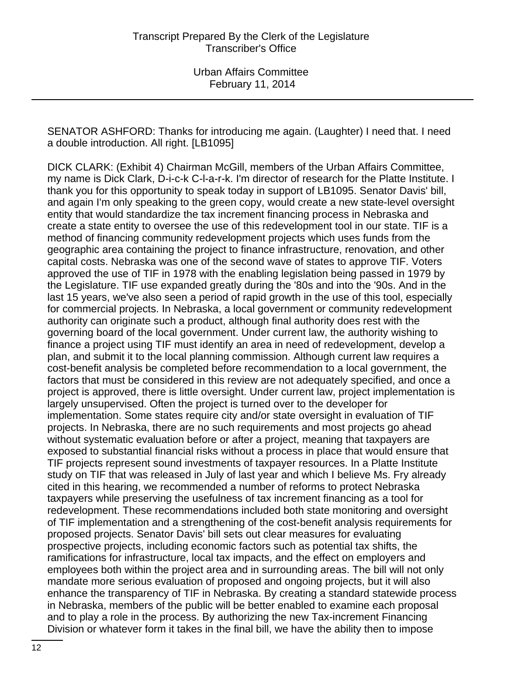SENATOR ASHFORD: Thanks for introducing me again. (Laughter) I need that. I need a double introduction. All right. [LB1095]

DICK CLARK: (Exhibit 4) Chairman McGill, members of the Urban Affairs Committee, my name is Dick Clark, D-i-c-k C-l-a-r-k. I'm director of research for the Platte Institute. I thank you for this opportunity to speak today in support of LB1095. Senator Davis' bill, and again I'm only speaking to the green copy, would create a new state-level oversight entity that would standardize the tax increment financing process in Nebraska and create a state entity to oversee the use of this redevelopment tool in our state. TIF is a method of financing community redevelopment projects which uses funds from the geographic area containing the project to finance infrastructure, renovation, and other capital costs. Nebraska was one of the second wave of states to approve TIF. Voters approved the use of TIF in 1978 with the enabling legislation being passed in 1979 by the Legislature. TIF use expanded greatly during the '80s and into the '90s. And in the last 15 years, we've also seen a period of rapid growth in the use of this tool, especially for commercial projects. In Nebraska, a local government or community redevelopment authority can originate such a product, although final authority does rest with the governing board of the local government. Under current law, the authority wishing to finance a project using TIF must identify an area in need of redevelopment, develop a plan, and submit it to the local planning commission. Although current law requires a cost-benefit analysis be completed before recommendation to a local government, the factors that must be considered in this review are not adequately specified, and once a project is approved, there is little oversight. Under current law, project implementation is largely unsupervised. Often the project is turned over to the developer for implementation. Some states require city and/or state oversight in evaluation of TIF projects. In Nebraska, there are no such requirements and most projects go ahead without systematic evaluation before or after a project, meaning that taxpayers are exposed to substantial financial risks without a process in place that would ensure that TIF projects represent sound investments of taxpayer resources. In a Platte Institute study on TIF that was released in July of last year and which I believe Ms. Fry already cited in this hearing, we recommended a number of reforms to protect Nebraska taxpayers while preserving the usefulness of tax increment financing as a tool for redevelopment. These recommendations included both state monitoring and oversight of TIF implementation and a strengthening of the cost-benefit analysis requirements for proposed projects. Senator Davis' bill sets out clear measures for evaluating prospective projects, including economic factors such as potential tax shifts, the ramifications for infrastructure, local tax impacts, and the effect on employers and employees both within the project area and in surrounding areas. The bill will not only mandate more serious evaluation of proposed and ongoing projects, but it will also enhance the transparency of TIF in Nebraska. By creating a standard statewide process in Nebraska, members of the public will be better enabled to examine each proposal and to play a role in the process. By authorizing the new Tax-increment Financing Division or whatever form it takes in the final bill, we have the ability then to impose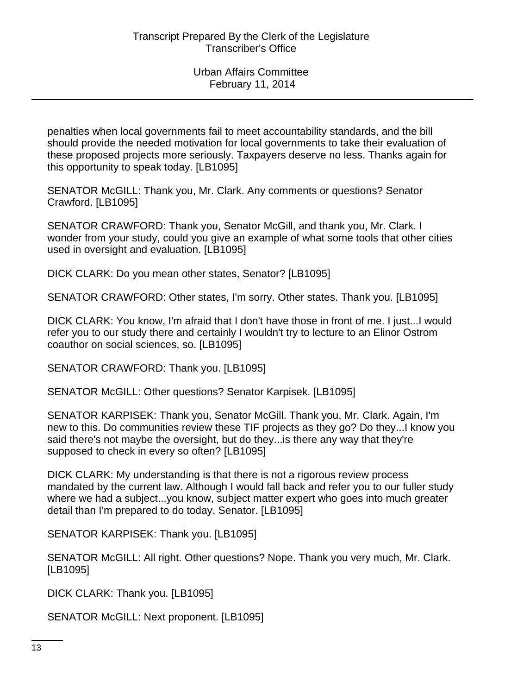penalties when local governments fail to meet accountability standards, and the bill should provide the needed motivation for local governments to take their evaluation of these proposed projects more seriously. Taxpayers deserve no less. Thanks again for this opportunity to speak today. [LB1095]

SENATOR McGILL: Thank you, Mr. Clark. Any comments or questions? Senator Crawford. [LB1095]

SENATOR CRAWFORD: Thank you, Senator McGill, and thank you, Mr. Clark. I wonder from your study, could you give an example of what some tools that other cities used in oversight and evaluation. [LB1095]

DICK CLARK: Do you mean other states, Senator? [LB1095]

SENATOR CRAWFORD: Other states, I'm sorry. Other states. Thank you. [LB1095]

DICK CLARK: You know, I'm afraid that I don't have those in front of me. I just...I would refer you to our study there and certainly I wouldn't try to lecture to an Elinor Ostrom coauthor on social sciences, so. [LB1095]

SENATOR CRAWFORD: Thank you. [LB1095]

SENATOR McGILL: Other questions? Senator Karpisek. [LB1095]

SENATOR KARPISEK: Thank you, Senator McGill. Thank you, Mr. Clark. Again, I'm new to this. Do communities review these TIF projects as they go? Do they...I know you said there's not maybe the oversight, but do they...is there any way that they're supposed to check in every so often? [LB1095]

DICK CLARK: My understanding is that there is not a rigorous review process mandated by the current law. Although I would fall back and refer you to our fuller study where we had a subject...you know, subject matter expert who goes into much greater detail than I'm prepared to do today, Senator. [LB1095]

SENATOR KARPISEK: Thank you. [LB1095]

SENATOR McGILL: All right. Other questions? Nope. Thank you very much, Mr. Clark. [LB1095]

DICK CLARK: Thank you. [LB1095]

SENATOR McGILL: Next proponent. [LB1095]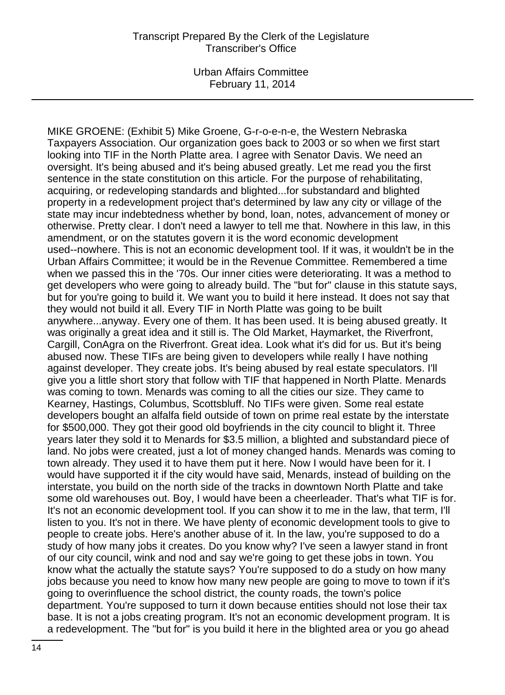Urban Affairs Committee February 11, 2014

MIKE GROENE: (Exhibit 5) Mike Groene, G-r-o-e-n-e, the Western Nebraska Taxpayers Association. Our organization goes back to 2003 or so when we first start looking into TIF in the North Platte area. I agree with Senator Davis. We need an oversight. It's being abused and it's being abused greatly. Let me read you the first sentence in the state constitution on this article. For the purpose of rehabilitating, acquiring, or redeveloping standards and blighted...for substandard and blighted property in a redevelopment project that's determined by law any city or village of the state may incur indebtedness whether by bond, loan, notes, advancement of money or otherwise. Pretty clear. I don't need a lawyer to tell me that. Nowhere in this law, in this amendment, or on the statutes govern it is the word economic development used--nowhere. This is not an economic development tool. If it was, it wouldn't be in the Urban Affairs Committee; it would be in the Revenue Committee. Remembered a time when we passed this in the '70s. Our inner cities were deteriorating. It was a method to get developers who were going to already build. The "but for" clause in this statute says, but for you're going to build it. We want you to build it here instead. It does not say that they would not build it all. Every TIF in North Platte was going to be built anywhere...anyway. Every one of them. It has been used. It is being abused greatly. It was originally a great idea and it still is. The Old Market, Haymarket, the Riverfront, Cargill, ConAgra on the Riverfront. Great idea. Look what it's did for us. But it's being abused now. These TIFs are being given to developers while really I have nothing against developer. They create jobs. It's being abused by real estate speculators. I'll give you a little short story that follow with TIF that happened in North Platte. Menards was coming to town. Menards was coming to all the cities our size. They came to Kearney, Hastings, Columbus, Scottsbluff. No TIFs were given. Some real estate developers bought an alfalfa field outside of town on prime real estate by the interstate for \$500,000. They got their good old boyfriends in the city council to blight it. Three years later they sold it to Menards for \$3.5 million, a blighted and substandard piece of land. No jobs were created, just a lot of money changed hands. Menards was coming to town already. They used it to have them put it here. Now I would have been for it. I would have supported it if the city would have said, Menards, instead of building on the interstate, you build on the north side of the tracks in downtown North Platte and take some old warehouses out. Boy, I would have been a cheerleader. That's what TIF is for. It's not an economic development tool. If you can show it to me in the law, that term, I'll listen to you. It's not in there. We have plenty of economic development tools to give to people to create jobs. Here's another abuse of it. In the law, you're supposed to do a study of how many jobs it creates. Do you know why? I've seen a lawyer stand in front of our city council, wink and nod and say we're going to get these jobs in town. You know what the actually the statute says? You're supposed to do a study on how many jobs because you need to know how many new people are going to move to town if it's going to overinfluence the school district, the county roads, the town's police department. You're supposed to turn it down because entities should not lose their tax base. It is not a jobs creating program. It's not an economic development program. It is a redevelopment. The "but for" is you build it here in the blighted area or you go ahead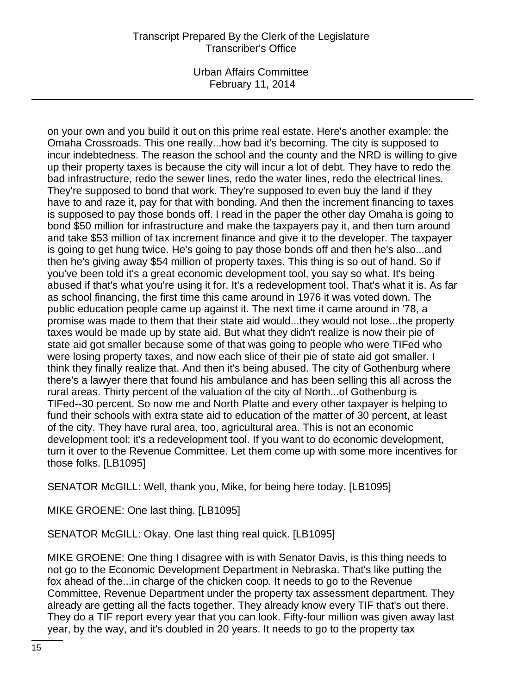Urban Affairs Committee February 11, 2014

on your own and you build it out on this prime real estate. Here's another example: the Omaha Crossroads. This one really...how bad it's becoming. The city is supposed to incur indebtedness. The reason the school and the county and the NRD is willing to give up their property taxes is because the city will incur a lot of debt. They have to redo the bad infrastructure, redo the sewer lines, redo the water lines, redo the electrical lines. They're supposed to bond that work. They're supposed to even buy the land if they have to and raze it, pay for that with bonding. And then the increment financing to taxes is supposed to pay those bonds off. I read in the paper the other day Omaha is going to bond \$50 million for infrastructure and make the taxpayers pay it, and then turn around and take \$53 million of tax increment finance and give it to the developer. The taxpayer is going to get hung twice. He's going to pay those bonds off and then he's also...and then he's giving away \$54 million of property taxes. This thing is so out of hand. So if you've been told it's a great economic development tool, you say so what. It's being abused if that's what you're using it for. It's a redevelopment tool. That's what it is. As far as school financing, the first time this came around in 1976 it was voted down. The public education people came up against it. The next time it came around in '78, a promise was made to them that their state aid would...they would not lose...the property taxes would be made up by state aid. But what they didn't realize is now their pie of state aid got smaller because some of that was going to people who were TIFed who were losing property taxes, and now each slice of their pie of state aid got smaller. I think they finally realize that. And then it's being abused. The city of Gothenburg where there's a lawyer there that found his ambulance and has been selling this all across the rural areas. Thirty percent of the valuation of the city of North...of Gothenburg is TIFed--30 percent. So now me and North Platte and every other taxpayer is helping to fund their schools with extra state aid to education of the matter of 30 percent, at least of the city. They have rural area, too, agricultural area. This is not an economic development tool; it's a redevelopment tool. If you want to do economic development, turn it over to the Revenue Committee. Let them come up with some more incentives for those folks. [LB1095]

SENATOR McGILL: Well, thank you, Mike, for being here today. [LB1095]

MIKE GROENE: One last thing. [LB1095]

SENATOR McGILL: Okay. One last thing real quick. [LB1095]

MIKE GROENE: One thing I disagree with is with Senator Davis, is this thing needs to not go to the Economic Development Department in Nebraska. That's like putting the fox ahead of the...in charge of the chicken coop. It needs to go to the Revenue Committee, Revenue Department under the property tax assessment department. They already are getting all the facts together. They already know every TIF that's out there. They do a TIF report every year that you can look. Fifty-four million was given away last year, by the way, and it's doubled in 20 years. It needs to go to the property tax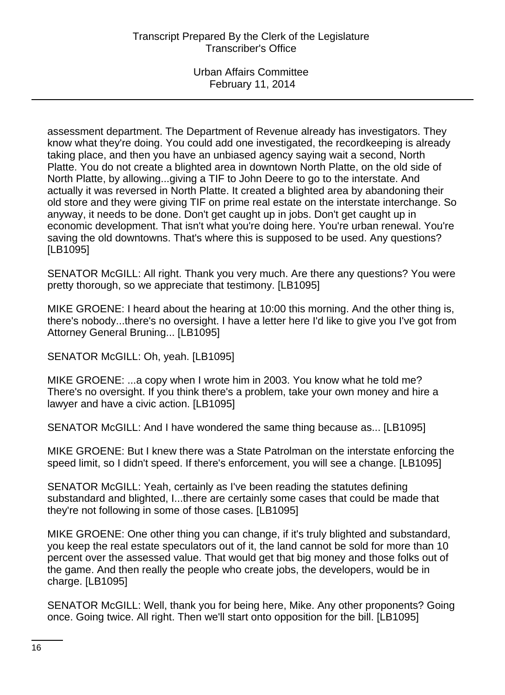assessment department. The Department of Revenue already has investigators. They know what they're doing. You could add one investigated, the recordkeeping is already taking place, and then you have an unbiased agency saying wait a second, North Platte. You do not create a blighted area in downtown North Platte, on the old side of North Platte, by allowing...giving a TIF to John Deere to go to the interstate. And actually it was reversed in North Platte. It created a blighted area by abandoning their old store and they were giving TIF on prime real estate on the interstate interchange. So anyway, it needs to be done. Don't get caught up in jobs. Don't get caught up in economic development. That isn't what you're doing here. You're urban renewal. You're saving the old downtowns. That's where this is supposed to be used. Any questions? [LB1095]

SENATOR McGILL: All right. Thank you very much. Are there any questions? You were pretty thorough, so we appreciate that testimony. [LB1095]

MIKE GROENE: I heard about the hearing at 10:00 this morning. And the other thing is, there's nobody...there's no oversight. I have a letter here I'd like to give you I've got from Attorney General Bruning... [LB1095]

SENATOR McGILL: Oh, yeah. [LB1095]

MIKE GROENE: ...a copy when I wrote him in 2003. You know what he told me? There's no oversight. If you think there's a problem, take your own money and hire a lawyer and have a civic action. [LB1095]

SENATOR McGILL: And I have wondered the same thing because as... [LB1095]

MIKE GROENE: But I knew there was a State Patrolman on the interstate enforcing the speed limit, so I didn't speed. If there's enforcement, you will see a change. [LB1095]

SENATOR McGILL: Yeah, certainly as I've been reading the statutes defining substandard and blighted, I...there are certainly some cases that could be made that they're not following in some of those cases. [LB1095]

MIKE GROENE: One other thing you can change, if it's truly blighted and substandard, you keep the real estate speculators out of it, the land cannot be sold for more than 10 percent over the assessed value. That would get that big money and those folks out of the game. And then really the people who create jobs, the developers, would be in charge. [LB1095]

SENATOR McGILL: Well, thank you for being here, Mike. Any other proponents? Going once. Going twice. All right. Then we'll start onto opposition for the bill. [LB1095]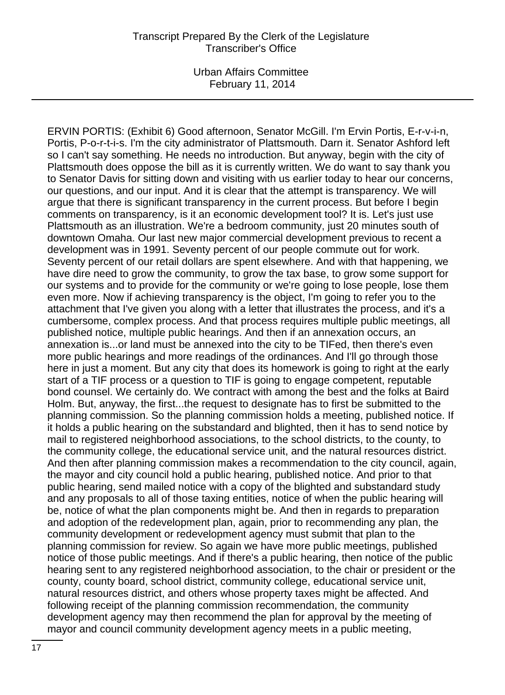Urban Affairs Committee February 11, 2014

ERVIN PORTIS: (Exhibit 6) Good afternoon, Senator McGill. I'm Ervin Portis, E-r-v-i-n, Portis, P-o-r-t-i-s. I'm the city administrator of Plattsmouth. Darn it. Senator Ashford left so I can't say something. He needs no introduction. But anyway, begin with the city of Plattsmouth does oppose the bill as it is currently written. We do want to say thank you to Senator Davis for sitting down and visiting with us earlier today to hear our concerns, our questions, and our input. And it is clear that the attempt is transparency. We will argue that there is significant transparency in the current process. But before I begin comments on transparency, is it an economic development tool? It is. Let's just use Plattsmouth as an illustration. We're a bedroom community, just 20 minutes south of downtown Omaha. Our last new major commercial development previous to recent a development was in 1991. Seventy percent of our people commute out for work. Seventy percent of our retail dollars are spent elsewhere. And with that happening, we have dire need to grow the community, to grow the tax base, to grow some support for our systems and to provide for the community or we're going to lose people, lose them even more. Now if achieving transparency is the object, I'm going to refer you to the attachment that I've given you along with a letter that illustrates the process, and it's a cumbersome, complex process. And that process requires multiple public meetings, all published notice, multiple public hearings. And then if an annexation occurs, an annexation is...or land must be annexed into the city to be TIFed, then there's even more public hearings and more readings of the ordinances. And I'll go through those here in just a moment. But any city that does its homework is going to right at the early start of a TIF process or a question to TIF is going to engage competent, reputable bond counsel. We certainly do. We contract with among the best and the folks at Baird Holm. But, anyway, the first...the request to designate has to first be submitted to the planning commission. So the planning commission holds a meeting, published notice. If it holds a public hearing on the substandard and blighted, then it has to send notice by mail to registered neighborhood associations, to the school districts, to the county, to the community college, the educational service unit, and the natural resources district. And then after planning commission makes a recommendation to the city council, again, the mayor and city council hold a public hearing, published notice. And prior to that public hearing, send mailed notice with a copy of the blighted and substandard study and any proposals to all of those taxing entities, notice of when the public hearing will be, notice of what the plan components might be. And then in regards to preparation and adoption of the redevelopment plan, again, prior to recommending any plan, the community development or redevelopment agency must submit that plan to the planning commission for review. So again we have more public meetings, published notice of those public meetings. And if there's a public hearing, then notice of the public hearing sent to any registered neighborhood association, to the chair or president or the county, county board, school district, community college, educational service unit, natural resources district, and others whose property taxes might be affected. And following receipt of the planning commission recommendation, the community development agency may then recommend the plan for approval by the meeting of mayor and council community development agency meets in a public meeting,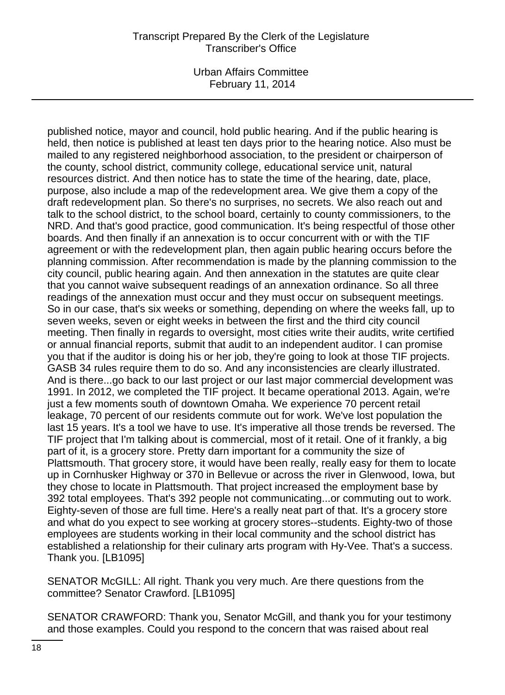Urban Affairs Committee February 11, 2014

published notice, mayor and council, hold public hearing. And if the public hearing is held, then notice is published at least ten days prior to the hearing notice. Also must be mailed to any registered neighborhood association, to the president or chairperson of the county, school district, community college, educational service unit, natural resources district. And then notice has to state the time of the hearing, date, place, purpose, also include a map of the redevelopment area. We give them a copy of the draft redevelopment plan. So there's no surprises, no secrets. We also reach out and talk to the school district, to the school board, certainly to county commissioners, to the NRD. And that's good practice, good communication. It's being respectful of those other boards. And then finally if an annexation is to occur concurrent with or with the TIF agreement or with the redevelopment plan, then again public hearing occurs before the planning commission. After recommendation is made by the planning commission to the city council, public hearing again. And then annexation in the statutes are quite clear that you cannot waive subsequent readings of an annexation ordinance. So all three readings of the annexation must occur and they must occur on subsequent meetings. So in our case, that's six weeks or something, depending on where the weeks fall, up to seven weeks, seven or eight weeks in between the first and the third city council meeting. Then finally in regards to oversight, most cities write their audits, write certified or annual financial reports, submit that audit to an independent auditor. I can promise you that if the auditor is doing his or her job, they're going to look at those TIF projects. GASB 34 rules require them to do so. And any inconsistencies are clearly illustrated. And is there...go back to our last project or our last major commercial development was 1991. In 2012, we completed the TIF project. It became operational 2013. Again, we're just a few moments south of downtown Omaha. We experience 70 percent retail leakage, 70 percent of our residents commute out for work. We've lost population the last 15 years. It's a tool we have to use. It's imperative all those trends be reversed. The TIF project that I'm talking about is commercial, most of it retail. One of it frankly, a big part of it, is a grocery store. Pretty darn important for a community the size of Plattsmouth. That grocery store, it would have been really, really easy for them to locate up in Cornhusker Highway or 370 in Bellevue or across the river in Glenwood, Iowa, but they chose to locate in Plattsmouth. That project increased the employment base by 392 total employees. That's 392 people not communicating...or commuting out to work. Eighty-seven of those are full time. Here's a really neat part of that. It's a grocery store and what do you expect to see working at grocery stores--students. Eighty-two of those employees are students working in their local community and the school district has established a relationship for their culinary arts program with Hy-Vee. That's a success. Thank you. [LB1095]

SENATOR McGILL: All right. Thank you very much. Are there questions from the committee? Senator Crawford. [LB1095]

SENATOR CRAWFORD: Thank you, Senator McGill, and thank you for your testimony and those examples. Could you respond to the concern that was raised about real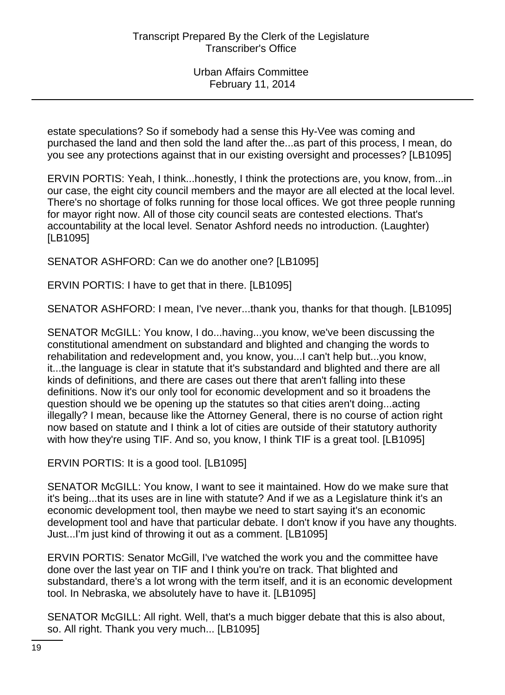estate speculations? So if somebody had a sense this Hy-Vee was coming and purchased the land and then sold the land after the...as part of this process, I mean, do you see any protections against that in our existing oversight and processes? [LB1095]

ERVIN PORTIS: Yeah, I think...honestly, I think the protections are, you know, from...in our case, the eight city council members and the mayor are all elected at the local level. There's no shortage of folks running for those local offices. We got three people running for mayor right now. All of those city council seats are contested elections. That's accountability at the local level. Senator Ashford needs no introduction. (Laughter) [LB1095]

SENATOR ASHFORD: Can we do another one? [LB1095]

ERVIN PORTIS: I have to get that in there. [LB1095]

SENATOR ASHFORD: I mean, I've never...thank you, thanks for that though. [LB1095]

SENATOR McGILL: You know, I do...having...you know, we've been discussing the constitutional amendment on substandard and blighted and changing the words to rehabilitation and redevelopment and, you know, you...I can't help but...you know, it...the language is clear in statute that it's substandard and blighted and there are all kinds of definitions, and there are cases out there that aren't falling into these definitions. Now it's our only tool for economic development and so it broadens the question should we be opening up the statutes so that cities aren't doing...acting illegally? I mean, because like the Attorney General, there is no course of action right now based on statute and I think a lot of cities are outside of their statutory authority with how they're using TIF. And so, you know, I think TIF is a great tool. [LB1095]

ERVIN PORTIS: It is a good tool. [LB1095]

SENATOR McGILL: You know, I want to see it maintained. How do we make sure that it's being...that its uses are in line with statute? And if we as a Legislature think it's an economic development tool, then maybe we need to start saying it's an economic development tool and have that particular debate. I don't know if you have any thoughts. Just...I'm just kind of throwing it out as a comment. [LB1095]

ERVIN PORTIS: Senator McGill, I've watched the work you and the committee have done over the last year on TIF and I think you're on track. That blighted and substandard, there's a lot wrong with the term itself, and it is an economic development tool. In Nebraska, we absolutely have to have it. [LB1095]

SENATOR McGILL: All right. Well, that's a much bigger debate that this is also about, so. All right. Thank you very much... [LB1095]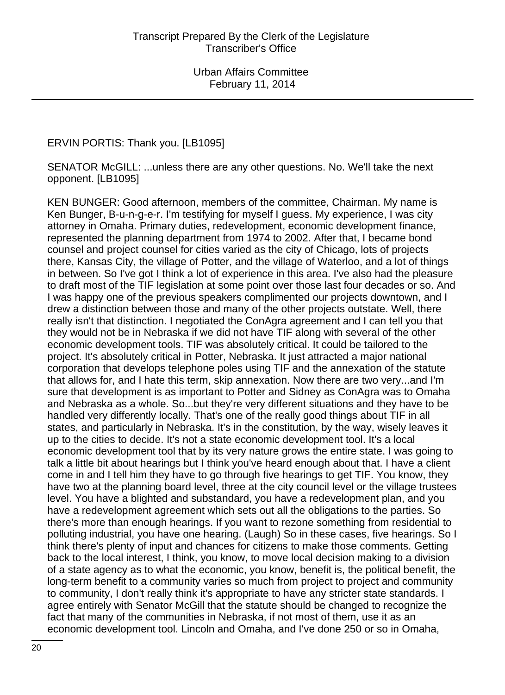ERVIN PORTIS: Thank you. [LB1095]

SENATOR McGILL: ...unless there are any other questions. No. We'll take the next opponent. [LB1095]

KEN BUNGER: Good afternoon, members of the committee, Chairman. My name is Ken Bunger, B-u-n-g-e-r. I'm testifying for myself I guess. My experience, I was city attorney in Omaha. Primary duties, redevelopment, economic development finance, represented the planning department from 1974 to 2002. After that, I became bond counsel and project counsel for cities varied as the city of Chicago, lots of projects there, Kansas City, the village of Potter, and the village of Waterloo, and a lot of things in between. So I've got I think a lot of experience in this area. I've also had the pleasure to draft most of the TIF legislation at some point over those last four decades or so. And I was happy one of the previous speakers complimented our projects downtown, and I drew a distinction between those and many of the other projects outstate. Well, there really isn't that distinction. I negotiated the ConAgra agreement and I can tell you that they would not be in Nebraska if we did not have TIF along with several of the other economic development tools. TIF was absolutely critical. It could be tailored to the project. It's absolutely critical in Potter, Nebraska. It just attracted a major national corporation that develops telephone poles using TIF and the annexation of the statute that allows for, and I hate this term, skip annexation. Now there are two very...and I'm sure that development is as important to Potter and Sidney as ConAgra was to Omaha and Nebraska as a whole. So...but they're very different situations and they have to be handled very differently locally. That's one of the really good things about TIF in all states, and particularly in Nebraska. It's in the constitution, by the way, wisely leaves it up to the cities to decide. It's not a state economic development tool. It's a local economic development tool that by its very nature grows the entire state. I was going to talk a little bit about hearings but I think you've heard enough about that. I have a client come in and I tell him they have to go through five hearings to get TIF. You know, they have two at the planning board level, three at the city council level or the village trustees level. You have a blighted and substandard, you have a redevelopment plan, and you have a redevelopment agreement which sets out all the obligations to the parties. So there's more than enough hearings. If you want to rezone something from residential to polluting industrial, you have one hearing. (Laugh) So in these cases, five hearings. So I think there's plenty of input and chances for citizens to make those comments. Getting back to the local interest, I think, you know, to move local decision making to a division of a state agency as to what the economic, you know, benefit is, the political benefit, the long-term benefit to a community varies so much from project to project and community to community, I don't really think it's appropriate to have any stricter state standards. I agree entirely with Senator McGill that the statute should be changed to recognize the fact that many of the communities in Nebraska, if not most of them, use it as an economic development tool. Lincoln and Omaha, and I've done 250 or so in Omaha,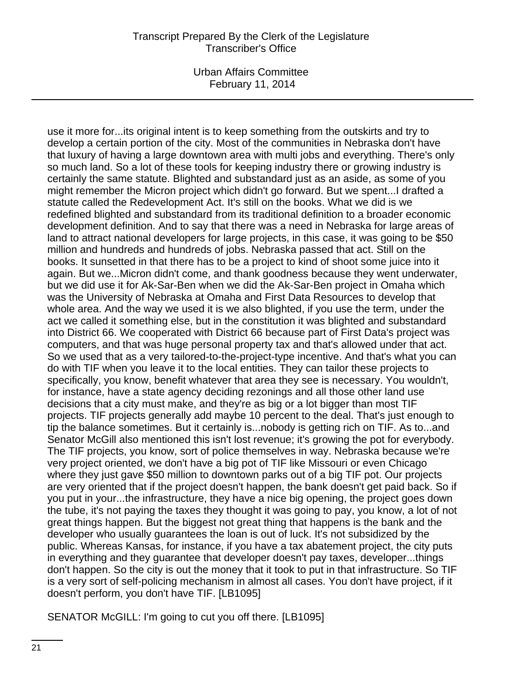Urban Affairs Committee February 11, 2014

use it more for...its original intent is to keep something from the outskirts and try to develop a certain portion of the city. Most of the communities in Nebraska don't have that luxury of having a large downtown area with multi jobs and everything. There's only so much land. So a lot of these tools for keeping industry there or growing industry is certainly the same statute. Blighted and substandard just as an aside, as some of you might remember the Micron project which didn't go forward. But we spent...I drafted a statute called the Redevelopment Act. It's still on the books. What we did is we redefined blighted and substandard from its traditional definition to a broader economic development definition. And to say that there was a need in Nebraska for large areas of land to attract national developers for large projects, in this case, it was going to be \$50 million and hundreds and hundreds of jobs. Nebraska passed that act. Still on the books. It sunsetted in that there has to be a project to kind of shoot some juice into it again. But we...Micron didn't come, and thank goodness because they went underwater, but we did use it for Ak-Sar-Ben when we did the Ak-Sar-Ben project in Omaha which was the University of Nebraska at Omaha and First Data Resources to develop that whole area. And the way we used it is we also blighted, if you use the term, under the act we called it something else, but in the constitution it was blighted and substandard into District 66. We cooperated with District 66 because part of First Data's project was computers, and that was huge personal property tax and that's allowed under that act. So we used that as a very tailored-to-the-project-type incentive. And that's what you can do with TIF when you leave it to the local entities. They can tailor these projects to specifically, you know, benefit whatever that area they see is necessary. You wouldn't, for instance, have a state agency deciding rezonings and all those other land use decisions that a city must make, and they're as big or a lot bigger than most TIF projects. TIF projects generally add maybe 10 percent to the deal. That's just enough to tip the balance sometimes. But it certainly is...nobody is getting rich on TIF. As to...and Senator McGill also mentioned this isn't lost revenue; it's growing the pot for everybody. The TIF projects, you know, sort of police themselves in way. Nebraska because we're very project oriented, we don't have a big pot of TIF like Missouri or even Chicago where they just gave \$50 million to downtown parks out of a big TIF pot. Our projects are very oriented that if the project doesn't happen, the bank doesn't get paid back. So if you put in your...the infrastructure, they have a nice big opening, the project goes down the tube, it's not paying the taxes they thought it was going to pay, you know, a lot of not great things happen. But the biggest not great thing that happens is the bank and the developer who usually guarantees the loan is out of luck. It's not subsidized by the public. Whereas Kansas, for instance, if you have a tax abatement project, the city puts in everything and they guarantee that developer doesn't pay taxes, developer...things don't happen. So the city is out the money that it took to put in that infrastructure. So TIF is a very sort of self-policing mechanism in almost all cases. You don't have project, if it doesn't perform, you don't have TIF. [LB1095]

SENATOR McGILL: I'm going to cut you off there. [LB1095]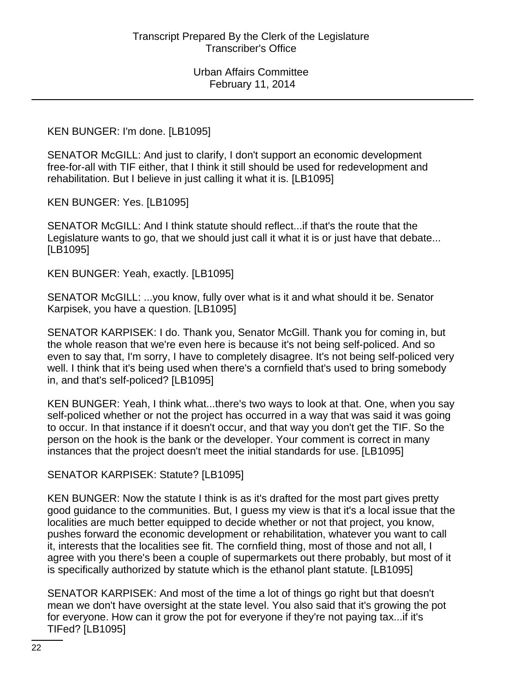#### KEN BUNGER: I'm done. [LB1095]

SENATOR McGILL: And just to clarify, I don't support an economic development free-for-all with TIF either, that I think it still should be used for redevelopment and rehabilitation. But I believe in just calling it what it is. [LB1095]

KEN BUNGER: Yes. [LB1095]

SENATOR McGILL: And I think statute should reflect...if that's the route that the Legislature wants to go, that we should just call it what it is or just have that debate... [LB1095]

KEN BUNGER: Yeah, exactly. [LB1095]

SENATOR McGILL: ...you know, fully over what is it and what should it be. Senator Karpisek, you have a question. [LB1095]

SENATOR KARPISEK: I do. Thank you, Senator McGill. Thank you for coming in, but the whole reason that we're even here is because it's not being self-policed. And so even to say that, I'm sorry, I have to completely disagree. It's not being self-policed very well. I think that it's being used when there's a cornfield that's used to bring somebody in, and that's self-policed? [LB1095]

KEN BUNGER: Yeah, I think what...there's two ways to look at that. One, when you say self-policed whether or not the project has occurred in a way that was said it was going to occur. In that instance if it doesn't occur, and that way you don't get the TIF. So the person on the hook is the bank or the developer. Your comment is correct in many instances that the project doesn't meet the initial standards for use. [LB1095]

SENATOR KARPISEK: Statute? [LB1095]

KEN BUNGER: Now the statute I think is as it's drafted for the most part gives pretty good guidance to the communities. But, I guess my view is that it's a local issue that the localities are much better equipped to decide whether or not that project, you know, pushes forward the economic development or rehabilitation, whatever you want to call it, interests that the localities see fit. The cornfield thing, most of those and not all, I agree with you there's been a couple of supermarkets out there probably, but most of it is specifically authorized by statute which is the ethanol plant statute. [LB1095]

SENATOR KARPISEK: And most of the time a lot of things go right but that doesn't mean we don't have oversight at the state level. You also said that it's growing the pot for everyone. How can it grow the pot for everyone if they're not paying tax...if it's TIFed? [LB1095]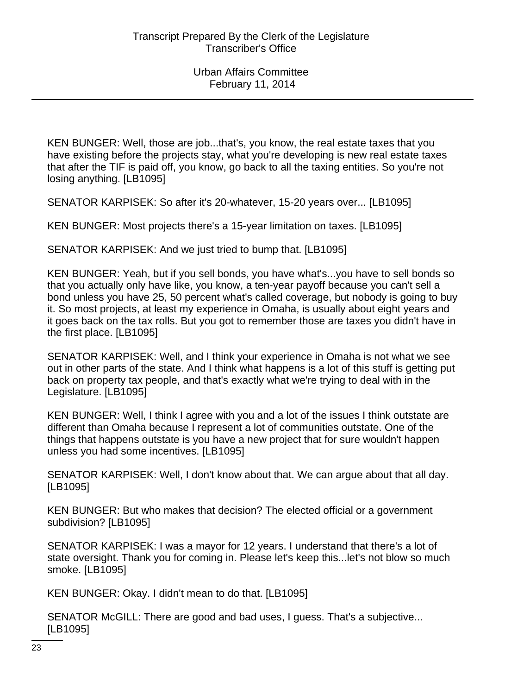KEN BUNGER: Well, those are job...that's, you know, the real estate taxes that you have existing before the projects stay, what you're developing is new real estate taxes that after the TIF is paid off, you know, go back to all the taxing entities. So you're not losing anything. [LB1095]

SENATOR KARPISEK: So after it's 20-whatever, 15-20 years over... [LB1095]

KEN BUNGER: Most projects there's a 15-year limitation on taxes. [LB1095]

SENATOR KARPISEK: And we just tried to bump that. [LB1095]

KEN BUNGER: Yeah, but if you sell bonds, you have what's...you have to sell bonds so that you actually only have like, you know, a ten-year payoff because you can't sell a bond unless you have 25, 50 percent what's called coverage, but nobody is going to buy it. So most projects, at least my experience in Omaha, is usually about eight years and it goes back on the tax rolls. But you got to remember those are taxes you didn't have in the first place. [LB1095]

SENATOR KARPISEK: Well, and I think your experience in Omaha is not what we see out in other parts of the state. And I think what happens is a lot of this stuff is getting put back on property tax people, and that's exactly what we're trying to deal with in the Legislature. [LB1095]

KEN BUNGER: Well, I think I agree with you and a lot of the issues I think outstate are different than Omaha because I represent a lot of communities outstate. One of the things that happens outstate is you have a new project that for sure wouldn't happen unless you had some incentives. [LB1095]

SENATOR KARPISEK: Well, I don't know about that. We can argue about that all day. [LB1095]

KEN BUNGER: But who makes that decision? The elected official or a government subdivision? [LB1095]

SENATOR KARPISEK: I was a mayor for 12 years. I understand that there's a lot of state oversight. Thank you for coming in. Please let's keep this...let's not blow so much smoke. [LB1095]

KEN BUNGER: Okay. I didn't mean to do that. [LB1095]

SENATOR McGILL: There are good and bad uses, I guess. That's a subjective... [LB1095]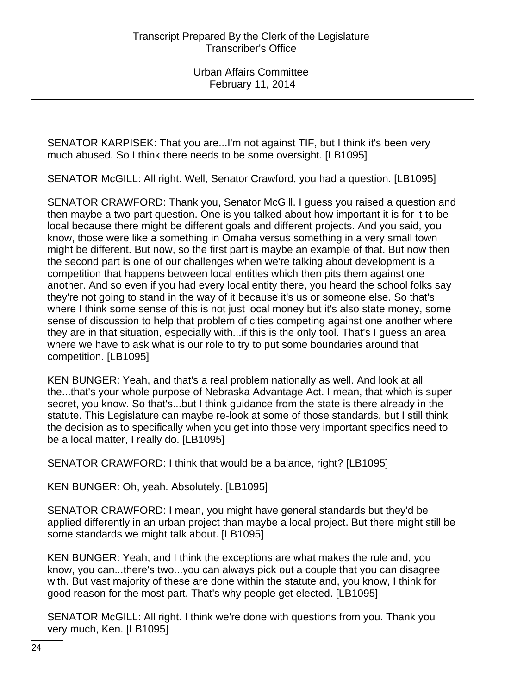SENATOR KARPISEK: That you are...I'm not against TIF, but I think it's been very much abused. So I think there needs to be some oversight. [LB1095]

SENATOR McGILL: All right. Well, Senator Crawford, you had a question. [LB1095]

SENATOR CRAWFORD: Thank you, Senator McGill. I guess you raised a question and then maybe a two-part question. One is you talked about how important it is for it to be local because there might be different goals and different projects. And you said, you know, those were like a something in Omaha versus something in a very small town might be different. But now, so the first part is maybe an example of that. But now then the second part is one of our challenges when we're talking about development is a competition that happens between local entities which then pits them against one another. And so even if you had every local entity there, you heard the school folks say they're not going to stand in the way of it because it's us or someone else. So that's where I think some sense of this is not just local money but it's also state money, some sense of discussion to help that problem of cities competing against one another where they are in that situation, especially with...if this is the only tool. That's I guess an area where we have to ask what is our role to try to put some boundaries around that competition. [LB1095]

KEN BUNGER: Yeah, and that's a real problem nationally as well. And look at all the...that's your whole purpose of Nebraska Advantage Act. I mean, that which is super secret, you know. So that's...but I think guidance from the state is there already in the statute. This Legislature can maybe re-look at some of those standards, but I still think the decision as to specifically when you get into those very important specifics need to be a local matter, I really do. [LB1095]

SENATOR CRAWFORD: I think that would be a balance, right? [LB1095]

KEN BUNGER: Oh, yeah. Absolutely. [LB1095]

SENATOR CRAWFORD: I mean, you might have general standards but they'd be applied differently in an urban project than maybe a local project. But there might still be some standards we might talk about. [LB1095]

KEN BUNGER: Yeah, and I think the exceptions are what makes the rule and, you know, you can...there's two...you can always pick out a couple that you can disagree with. But vast majority of these are done within the statute and, you know, I think for good reason for the most part. That's why people get elected. [LB1095]

SENATOR McGILL: All right. I think we're done with questions from you. Thank you very much, Ken. [LB1095]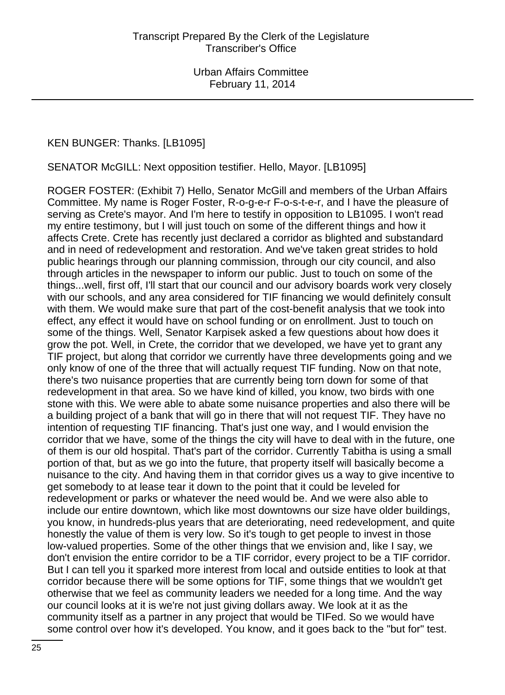#### KEN BUNGER: Thanks. [LB1095]

SENATOR McGILL: Next opposition testifier. Hello, Mayor. [LB1095]

ROGER FOSTER: (Exhibit 7) Hello, Senator McGill and members of the Urban Affairs Committee. My name is Roger Foster, R-o-g-e-r F-o-s-t-e-r, and I have the pleasure of serving as Crete's mayor. And I'm here to testify in opposition to LB1095. I won't read my entire testimony, but I will just touch on some of the different things and how it affects Crete. Crete has recently just declared a corridor as blighted and substandard and in need of redevelopment and restoration. And we've taken great strides to hold public hearings through our planning commission, through our city council, and also through articles in the newspaper to inform our public. Just to touch on some of the things...well, first off, I'll start that our council and our advisory boards work very closely with our schools, and any area considered for TIF financing we would definitely consult with them. We would make sure that part of the cost-benefit analysis that we took into effect, any effect it would have on school funding or on enrollment. Just to touch on some of the things. Well, Senator Karpisek asked a few questions about how does it grow the pot. Well, in Crete, the corridor that we developed, we have yet to grant any TIF project, but along that corridor we currently have three developments going and we only know of one of the three that will actually request TIF funding. Now on that note, there's two nuisance properties that are currently being torn down for some of that redevelopment in that area. So we have kind of killed, you know, two birds with one stone with this. We were able to abate some nuisance properties and also there will be a building project of a bank that will go in there that will not request TIF. They have no intention of requesting TIF financing. That's just one way, and I would envision the corridor that we have, some of the things the city will have to deal with in the future, one of them is our old hospital. That's part of the corridor. Currently Tabitha is using a small portion of that, but as we go into the future, that property itself will basically become a nuisance to the city. And having them in that corridor gives us a way to give incentive to get somebody to at lease tear it down to the point that it could be leveled for redevelopment or parks or whatever the need would be. And we were also able to include our entire downtown, which like most downtowns our size have older buildings, you know, in hundreds-plus years that are deteriorating, need redevelopment, and quite honestly the value of them is very low. So it's tough to get people to invest in those low-valued properties. Some of the other things that we envision and, like I say, we don't envision the entire corridor to be a TIF corridor, every project to be a TIF corridor. But I can tell you it sparked more interest from local and outside entities to look at that corridor because there will be some options for TIF, some things that we wouldn't get otherwise that we feel as community leaders we needed for a long time. And the way our council looks at it is we're not just giving dollars away. We look at it as the community itself as a partner in any project that would be TIFed. So we would have some control over how it's developed. You know, and it goes back to the "but for" test.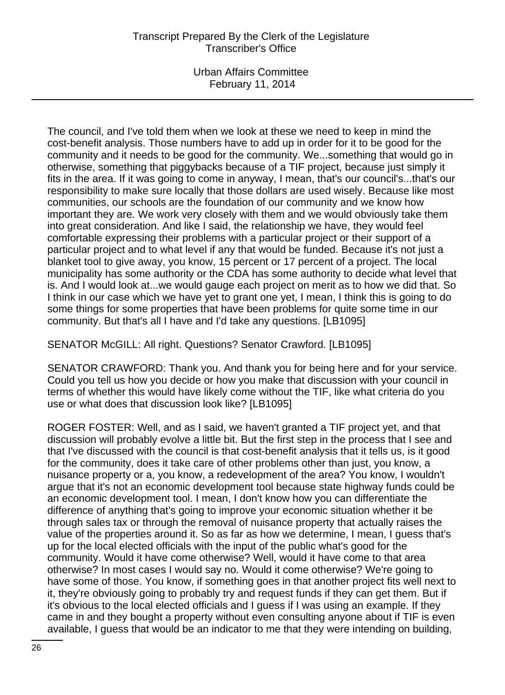Urban Affairs Committee February 11, 2014

The council, and I've told them when we look at these we need to keep in mind the cost-benefit analysis. Those numbers have to add up in order for it to be good for the community and it needs to be good for the community. We...something that would go in otherwise, something that piggybacks because of a TIF project, because just simply it fits in the area. If it was going to come in anyway, I mean, that's our council's...that's our responsibility to make sure locally that those dollars are used wisely. Because like most communities, our schools are the foundation of our community and we know how important they are. We work very closely with them and we would obviously take them into great consideration. And like I said, the relationship we have, they would feel comfortable expressing their problems with a particular project or their support of a particular project and to what level if any that would be funded. Because it's not just a blanket tool to give away, you know, 15 percent or 17 percent of a project. The local municipality has some authority or the CDA has some authority to decide what level that is. And I would look at...we would gauge each project on merit as to how we did that. So I think in our case which we have yet to grant one yet, I mean, I think this is going to do some things for some properties that have been problems for quite some time in our community. But that's all I have and I'd take any questions. [LB1095]

SENATOR McGILL: All right. Questions? Senator Crawford. [LB1095]

SENATOR CRAWFORD: Thank you. And thank you for being here and for your service. Could you tell us how you decide or how you make that discussion with your council in terms of whether this would have likely come without the TIF, like what criteria do you use or what does that discussion look like? [LB1095]

ROGER FOSTER: Well, and as I said, we haven't granted a TIF project yet, and that discussion will probably evolve a little bit. But the first step in the process that I see and that I've discussed with the council is that cost-benefit analysis that it tells us, is it good for the community, does it take care of other problems other than just, you know, a nuisance property or a, you know, a redevelopment of the area? You know, I wouldn't argue that it's not an economic development tool because state highway funds could be an economic development tool. I mean, I don't know how you can differentiate the difference of anything that's going to improve your economic situation whether it be through sales tax or through the removal of nuisance property that actually raises the value of the properties around it. So as far as how we determine, I mean, I guess that's up for the local elected officials with the input of the public what's good for the community. Would it have come otherwise? Well, would it have come to that area otherwise? In most cases I would say no. Would it come otherwise? We're going to have some of those. You know, if something goes in that another project fits well next to it, they're obviously going to probably try and request funds if they can get them. But if it's obvious to the local elected officials and I guess if I was using an example. If they came in and they bought a property without even consulting anyone about if TIF is even available, I guess that would be an indicator to me that they were intending on building,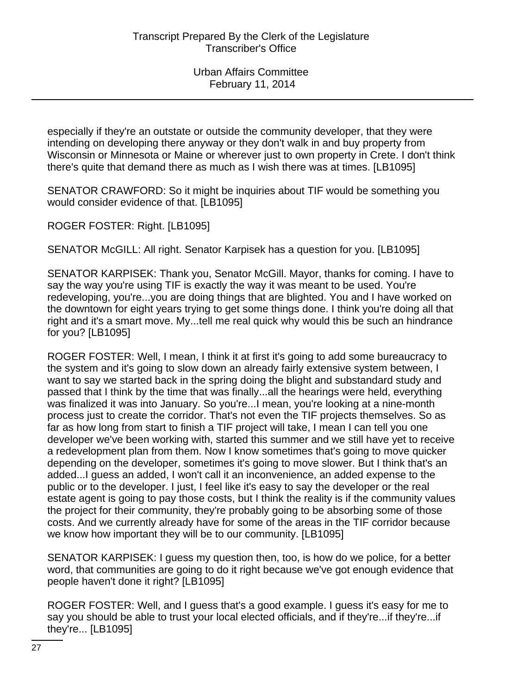especially if they're an outstate or outside the community developer, that they were intending on developing there anyway or they don't walk in and buy property from Wisconsin or Minnesota or Maine or wherever just to own property in Crete. I don't think there's quite that demand there as much as I wish there was at times. [LB1095]

SENATOR CRAWFORD: So it might be inquiries about TIF would be something you would consider evidence of that. [LB1095]

ROGER FOSTER: Right. [LB1095]

SENATOR McGILL: All right. Senator Karpisek has a question for you. [LB1095]

SENATOR KARPISEK: Thank you, Senator McGill. Mayor, thanks for coming. I have to say the way you're using TIF is exactly the way it was meant to be used. You're redeveloping, you're...you are doing things that are blighted. You and I have worked on the downtown for eight years trying to get some things done. I think you're doing all that right and it's a smart move. My...tell me real quick why would this be such an hindrance for you? [LB1095]

ROGER FOSTER: Well, I mean, I think it at first it's going to add some bureaucracy to the system and it's going to slow down an already fairly extensive system between, I want to say we started back in the spring doing the blight and substandard study and passed that I think by the time that was finally...all the hearings were held, everything was finalized it was into January. So you're...I mean, you're looking at a nine-month process just to create the corridor. That's not even the TIF projects themselves. So as far as how long from start to finish a TIF project will take, I mean I can tell you one developer we've been working with, started this summer and we still have yet to receive a redevelopment plan from them. Now I know sometimes that's going to move quicker depending on the developer, sometimes it's going to move slower. But I think that's an added...I guess an added, I won't call it an inconvenience, an added expense to the public or to the developer. I just, I feel like it's easy to say the developer or the real estate agent is going to pay those costs, but I think the reality is if the community values the project for their community, they're probably going to be absorbing some of those costs. And we currently already have for some of the areas in the TIF corridor because we know how important they will be to our community. [LB1095]

SENATOR KARPISEK: I guess my question then, too, is how do we police, for a better word, that communities are going to do it right because we've got enough evidence that people haven't done it right? [LB1095]

ROGER FOSTER: Well, and I guess that's a good example. I guess it's easy for me to say you should be able to trust your local elected officials, and if they're...if they're...if they're... [LB1095]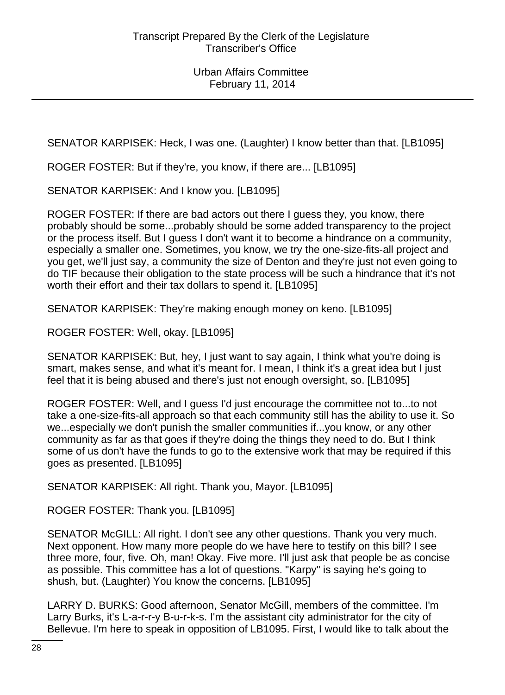SENATOR KARPISEK: Heck, I was one. (Laughter) I know better than that. [LB1095]

ROGER FOSTER: But if they're, you know, if there are... [LB1095]

SENATOR KARPISEK: And I know you. [LB1095]

ROGER FOSTER: If there are bad actors out there I guess they, you know, there probably should be some...probably should be some added transparency to the project or the process itself. But I guess I don't want it to become a hindrance on a community, especially a smaller one. Sometimes, you know, we try the one-size-fits-all project and you get, we'll just say, a community the size of Denton and they're just not even going to do TIF because their obligation to the state process will be such a hindrance that it's not worth their effort and their tax dollars to spend it. [LB1095]

SENATOR KARPISEK: They're making enough money on keno. [LB1095]

ROGER FOSTER: Well, okay. [LB1095]

SENATOR KARPISEK: But, hey, I just want to say again, I think what you're doing is smart, makes sense, and what it's meant for. I mean, I think it's a great idea but I just feel that it is being abused and there's just not enough oversight, so. [LB1095]

ROGER FOSTER: Well, and I guess I'd just encourage the committee not to...to not take a one-size-fits-all approach so that each community still has the ability to use it. So we...especially we don't punish the smaller communities if...you know, or any other community as far as that goes if they're doing the things they need to do. But I think some of us don't have the funds to go to the extensive work that may be required if this goes as presented. [LB1095]

SENATOR KARPISEK: All right. Thank you, Mayor. [LB1095]

ROGER FOSTER: Thank you. [LB1095]

SENATOR McGILL: All right. I don't see any other questions. Thank you very much. Next opponent. How many more people do we have here to testify on this bill? I see three more, four, five. Oh, man! Okay. Five more. I'll just ask that people be as concise as possible. This committee has a lot of questions. "Karpy" is saying he's going to shush, but. (Laughter) You know the concerns. [LB1095]

LARRY D. BURKS: Good afternoon, Senator McGill, members of the committee. I'm Larry Burks, it's L-a-r-r-y B-u-r-k-s. I'm the assistant city administrator for the city of Bellevue. I'm here to speak in opposition of LB1095. First, I would like to talk about the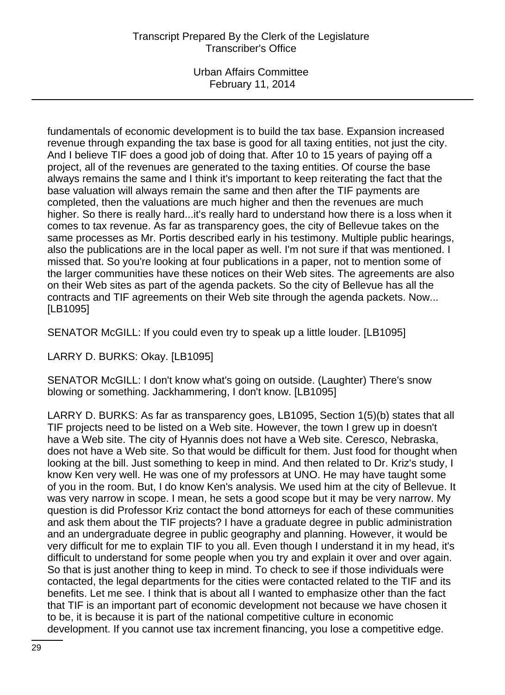Urban Affairs Committee February 11, 2014

fundamentals of economic development is to build the tax base. Expansion increased revenue through expanding the tax base is good for all taxing entities, not just the city. And I believe TIF does a good job of doing that. After 10 to 15 years of paying off a project, all of the revenues are generated to the taxing entities. Of course the base always remains the same and I think it's important to keep reiterating the fact that the base valuation will always remain the same and then after the TIF payments are completed, then the valuations are much higher and then the revenues are much higher. So there is really hard...it's really hard to understand how there is a loss when it comes to tax revenue. As far as transparency goes, the city of Bellevue takes on the same processes as Mr. Portis described early in his testimony. Multiple public hearings, also the publications are in the local paper as well. I'm not sure if that was mentioned. I missed that. So you're looking at four publications in a paper, not to mention some of the larger communities have these notices on their Web sites. The agreements are also on their Web sites as part of the agenda packets. So the city of Bellevue has all the contracts and TIF agreements on their Web site through the agenda packets. Now... [LB1095]

SENATOR McGILL: If you could even try to speak up a little louder. [LB1095]

LARRY D. BURKS: Okay. [LB1095]

SENATOR McGILL: I don't know what's going on outside. (Laughter) There's snow blowing or something. Jackhammering, I don't know. [LB1095]

LARRY D. BURKS: As far as transparency goes, LB1095, Section 1(5)(b) states that all TIF projects need to be listed on a Web site. However, the town I grew up in doesn't have a Web site. The city of Hyannis does not have a Web site. Ceresco, Nebraska, does not have a Web site. So that would be difficult for them. Just food for thought when looking at the bill. Just something to keep in mind. And then related to Dr. Kriz's study, I know Ken very well. He was one of my professors at UNO. He may have taught some of you in the room. But, I do know Ken's analysis. We used him at the city of Bellevue. It was very narrow in scope. I mean, he sets a good scope but it may be very narrow. My question is did Professor Kriz contact the bond attorneys for each of these communities and ask them about the TIF projects? I have a graduate degree in public administration and an undergraduate degree in public geography and planning. However, it would be very difficult for me to explain TIF to you all. Even though I understand it in my head, it's difficult to understand for some people when you try and explain it over and over again. So that is just another thing to keep in mind. To check to see if those individuals were contacted, the legal departments for the cities were contacted related to the TIF and its benefits. Let me see. I think that is about all I wanted to emphasize other than the fact that TIF is an important part of economic development not because we have chosen it to be, it is because it is part of the national competitive culture in economic development. If you cannot use tax increment financing, you lose a competitive edge.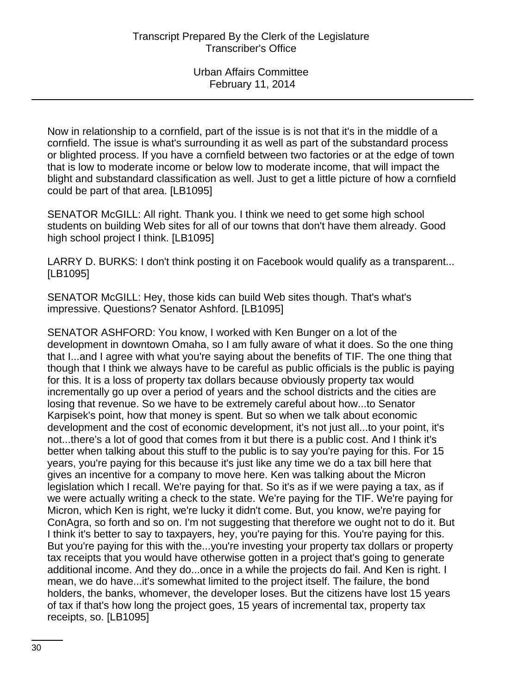Now in relationship to a cornfield, part of the issue is is not that it's in the middle of a cornfield. The issue is what's surrounding it as well as part of the substandard process or blighted process. If you have a cornfield between two factories or at the edge of town that is low to moderate income or below low to moderate income, that will impact the blight and substandard classification as well. Just to get a little picture of how a cornfield could be part of that area. [LB1095]

SENATOR McGILL: All right. Thank you. I think we need to get some high school students on building Web sites for all of our towns that don't have them already. Good high school project I think. [LB1095]

LARRY D. BURKS: I don't think posting it on Facebook would qualify as a transparent... [LB1095]

SENATOR McGILL: Hey, those kids can build Web sites though. That's what's impressive. Questions? Senator Ashford. [LB1095]

SENATOR ASHFORD: You know, I worked with Ken Bunger on a lot of the development in downtown Omaha, so I am fully aware of what it does. So the one thing that I...and I agree with what you're saying about the benefits of TIF. The one thing that though that I think we always have to be careful as public officials is the public is paying for this. It is a loss of property tax dollars because obviously property tax would incrementally go up over a period of years and the school districts and the cities are losing that revenue. So we have to be extremely careful about how...to Senator Karpisek's point, how that money is spent. But so when we talk about economic development and the cost of economic development, it's not just all...to your point, it's not...there's a lot of good that comes from it but there is a public cost. And I think it's better when talking about this stuff to the public is to say you're paying for this. For 15 years, you're paying for this because it's just like any time we do a tax bill here that gives an incentive for a company to move here. Ken was talking about the Micron legislation which I recall. We're paying for that. So it's as if we were paying a tax, as if we were actually writing a check to the state. We're paying for the TIF. We're paying for Micron, which Ken is right, we're lucky it didn't come. But, you know, we're paying for ConAgra, so forth and so on. I'm not suggesting that therefore we ought not to do it. But I think it's better to say to taxpayers, hey, you're paying for this. You're paying for this. But you're paying for this with the...you're investing your property tax dollars or property tax receipts that you would have otherwise gotten in a project that's going to generate additional income. And they do...once in a while the projects do fail. And Ken is right. I mean, we do have...it's somewhat limited to the project itself. The failure, the bond holders, the banks, whomever, the developer loses. But the citizens have lost 15 years of tax if that's how long the project goes, 15 years of incremental tax, property tax receipts, so. [LB1095]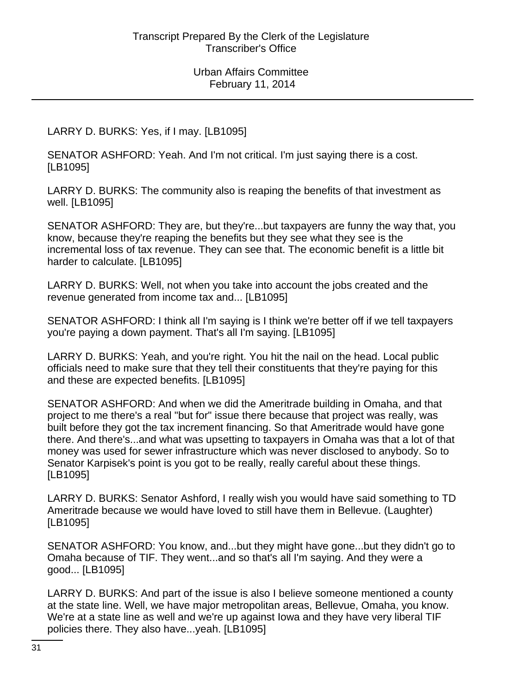LARRY D. BURKS: Yes, if I may. [LB1095]

SENATOR ASHFORD: Yeah. And I'm not critical. I'm just saying there is a cost. [LB1095]

LARRY D. BURKS: The community also is reaping the benefits of that investment as well. [LB1095]

SENATOR ASHFORD: They are, but they're...but taxpayers are funny the way that, you know, because they're reaping the benefits but they see what they see is the incremental loss of tax revenue. They can see that. The economic benefit is a little bit harder to calculate. [LB1095]

LARRY D. BURKS: Well, not when you take into account the jobs created and the revenue generated from income tax and... [LB1095]

SENATOR ASHFORD: I think all I'm saying is I think we're better off if we tell taxpayers you're paying a down payment. That's all I'm saying. [LB1095]

LARRY D. BURKS: Yeah, and you're right. You hit the nail on the head. Local public officials need to make sure that they tell their constituents that they're paying for this and these are expected benefits. [LB1095]

SENATOR ASHFORD: And when we did the Ameritrade building in Omaha, and that project to me there's a real "but for" issue there because that project was really, was built before they got the tax increment financing. So that Ameritrade would have gone there. And there's...and what was upsetting to taxpayers in Omaha was that a lot of that money was used for sewer infrastructure which was never disclosed to anybody. So to Senator Karpisek's point is you got to be really, really careful about these things. [LB1095]

LARRY D. BURKS: Senator Ashford, I really wish you would have said something to TD Ameritrade because we would have loved to still have them in Bellevue. (Laughter) [LB1095]

SENATOR ASHFORD: You know, and...but they might have gone...but they didn't go to Omaha because of TIF. They went...and so that's all I'm saying. And they were a good... [LB1095]

LARRY D. BURKS: And part of the issue is also I believe someone mentioned a county at the state line. Well, we have major metropolitan areas, Bellevue, Omaha, you know. We're at a state line as well and we're up against Iowa and they have very liberal TIF policies there. They also have...yeah. [LB1095]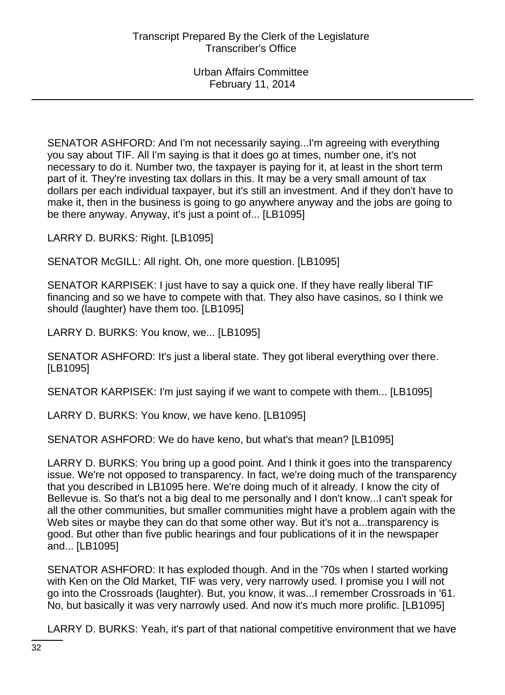SENATOR ASHFORD: And I'm not necessarily saying...I'm agreeing with everything you say about TIF. All I'm saying is that it does go at times, number one, it's not necessary to do it. Number two, the taxpayer is paying for it, at least in the short term part of it. They're investing tax dollars in this. It may be a very small amount of tax dollars per each individual taxpayer, but it's still an investment. And if they don't have to make it, then in the business is going to go anywhere anyway and the jobs are going to be there anyway. Anyway, it's just a point of... [LB1095]

LARRY D. BURKS: Right. [LB1095]

SENATOR McGILL: All right. Oh, one more question. [LB1095]

SENATOR KARPISEK: I just have to say a quick one. If they have really liberal TIF financing and so we have to compete with that. They also have casinos, so I think we should (laughter) have them too. [LB1095]

LARRY D. BURKS: You know, we... [LB1095]

SENATOR ASHFORD: It's just a liberal state. They got liberal everything over there. [LB1095]

SENATOR KARPISEK: I'm just saying if we want to compete with them... [LB1095]

LARRY D. BURKS: You know, we have keno. [LB1095]

SENATOR ASHFORD: We do have keno, but what's that mean? [LB1095]

LARRY D. BURKS: You bring up a good point. And I think it goes into the transparency issue. We're not opposed to transparency. In fact, we're doing much of the transparency that you described in LB1095 here. We're doing much of it already. I know the city of Bellevue is. So that's not a big deal to me personally and I don't know...I can't speak for all the other communities, but smaller communities might have a problem again with the Web sites or maybe they can do that some other way. But it's not a...transparency is good. But other than five public hearings and four publications of it in the newspaper and... [LB1095]

SENATOR ASHFORD: It has exploded though. And in the '70s when I started working with Ken on the Old Market, TIF was very, very narrowly used. I promise you I will not go into the Crossroads (laughter). But, you know, it was...I remember Crossroads in '61. No, but basically it was very narrowly used. And now it's much more prolific. [LB1095]

LARRY D. BURKS: Yeah, it's part of that national competitive environment that we have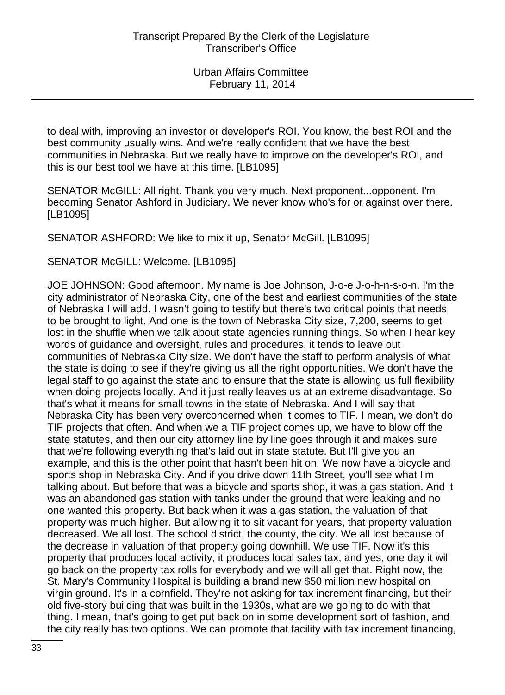to deal with, improving an investor or developer's ROI. You know, the best ROI and the best community usually wins. And we're really confident that we have the best communities in Nebraska. But we really have to improve on the developer's ROI, and this is our best tool we have at this time. [LB1095]

SENATOR McGILL: All right. Thank you very much. Next proponent...opponent. I'm becoming Senator Ashford in Judiciary. We never know who's for or against over there. [LB1095]

SENATOR ASHFORD: We like to mix it up, Senator McGill. [LB1095]

SENATOR McGILL: Welcome. [LB1095]

JOE JOHNSON: Good afternoon. My name is Joe Johnson, J-o-e J-o-h-n-s-o-n. I'm the city administrator of Nebraska City, one of the best and earliest communities of the state of Nebraska I will add. I wasn't going to testify but there's two critical points that needs to be brought to light. And one is the town of Nebraska City size, 7,200, seems to get lost in the shuffle when we talk about state agencies running things. So when I hear key words of guidance and oversight, rules and procedures, it tends to leave out communities of Nebraska City size. We don't have the staff to perform analysis of what the state is doing to see if they're giving us all the right opportunities. We don't have the legal staff to go against the state and to ensure that the state is allowing us full flexibility when doing projects locally. And it just really leaves us at an extreme disadvantage. So that's what it means for small towns in the state of Nebraska. And I will say that Nebraska City has been very overconcerned when it comes to TIF. I mean, we don't do TIF projects that often. And when we a TIF project comes up, we have to blow off the state statutes, and then our city attorney line by line goes through it and makes sure that we're following everything that's laid out in state statute. But I'll give you an example, and this is the other point that hasn't been hit on. We now have a bicycle and sports shop in Nebraska City. And if you drive down 11th Street, you'll see what I'm talking about. But before that was a bicycle and sports shop, it was a gas station. And it was an abandoned gas station with tanks under the ground that were leaking and no one wanted this property. But back when it was a gas station, the valuation of that property was much higher. But allowing it to sit vacant for years, that property valuation decreased. We all lost. The school district, the county, the city. We all lost because of the decrease in valuation of that property going downhill. We use TIF. Now it's this property that produces local activity, it produces local sales tax, and yes, one day it will go back on the property tax rolls for everybody and we will all get that. Right now, the St. Mary's Community Hospital is building a brand new \$50 million new hospital on virgin ground. It's in a cornfield. They're not asking for tax increment financing, but their old five-story building that was built in the 1930s, what are we going to do with that thing. I mean, that's going to get put back on in some development sort of fashion, and the city really has two options. We can promote that facility with tax increment financing,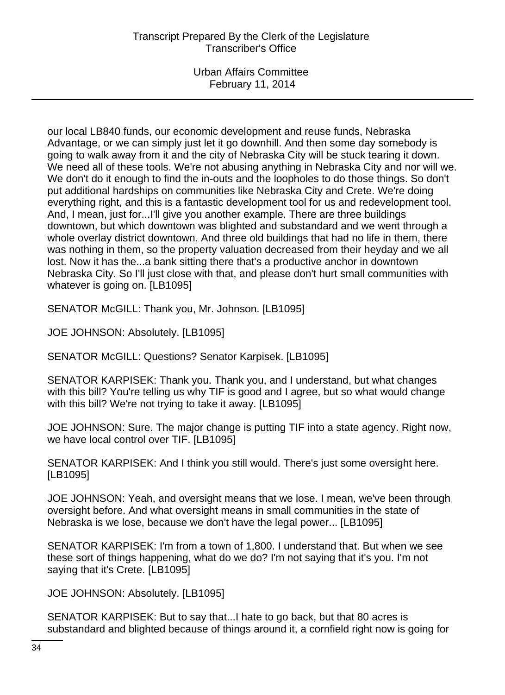Urban Affairs Committee February 11, 2014

our local LB840 funds, our economic development and reuse funds, Nebraska Advantage, or we can simply just let it go downhill. And then some day somebody is going to walk away from it and the city of Nebraska City will be stuck tearing it down. We need all of these tools. We're not abusing anything in Nebraska City and nor will we. We don't do it enough to find the in-outs and the loopholes to do those things. So don't put additional hardships on communities like Nebraska City and Crete. We're doing everything right, and this is a fantastic development tool for us and redevelopment tool. And, I mean, just for...I'll give you another example. There are three buildings downtown, but which downtown was blighted and substandard and we went through a whole overlay district downtown. And three old buildings that had no life in them, there was nothing in them, so the property valuation decreased from their heyday and we all lost. Now it has the...a bank sitting there that's a productive anchor in downtown Nebraska City. So I'll just close with that, and please don't hurt small communities with whatever is going on. [LB1095]

SENATOR McGILL: Thank you, Mr. Johnson. [LB1095]

JOE JOHNSON: Absolutely. [LB1095]

SENATOR McGILL: Questions? Senator Karpisek. [LB1095]

SENATOR KARPISEK: Thank you. Thank you, and I understand, but what changes with this bill? You're telling us why TIF is good and I agree, but so what would change with this bill? We're not trying to take it away. [LB1095]

JOE JOHNSON: Sure. The major change is putting TIF into a state agency. Right now, we have local control over TIF. [LB1095]

SENATOR KARPISEK: And I think you still would. There's just some oversight here. [LB1095]

JOE JOHNSON: Yeah, and oversight means that we lose. I mean, we've been through oversight before. And what oversight means in small communities in the state of Nebraska is we lose, because we don't have the legal power... [LB1095]

SENATOR KARPISEK: I'm from a town of 1,800. I understand that. But when we see these sort of things happening, what do we do? I'm not saying that it's you. I'm not saying that it's Crete. [LB1095]

JOE JOHNSON: Absolutely. [LB1095]

SENATOR KARPISEK: But to say that...I hate to go back, but that 80 acres is substandard and blighted because of things around it, a cornfield right now is going for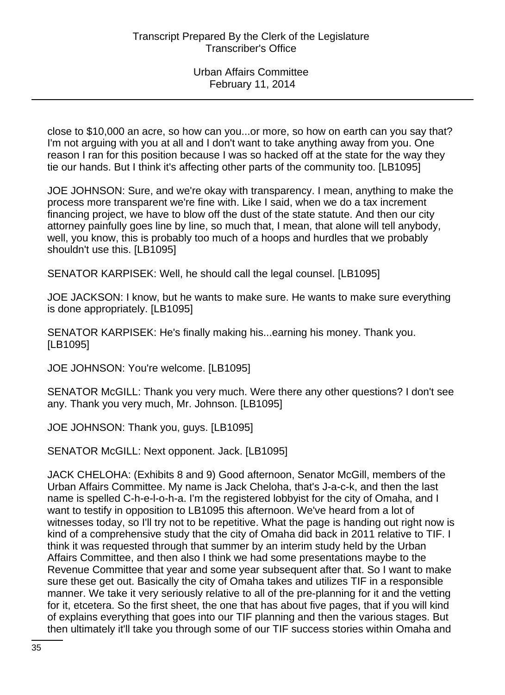close to \$10,000 an acre, so how can you...or more, so how on earth can you say that? I'm not arguing with you at all and I don't want to take anything away from you. One reason I ran for this position because I was so hacked off at the state for the way they tie our hands. But I think it's affecting other parts of the community too. [LB1095]

JOE JOHNSON: Sure, and we're okay with transparency. I mean, anything to make the process more transparent we're fine with. Like I said, when we do a tax increment financing project, we have to blow off the dust of the state statute. And then our city attorney painfully goes line by line, so much that, I mean, that alone will tell anybody, well, you know, this is probably too much of a hoops and hurdles that we probably shouldn't use this. [LB1095]

SENATOR KARPISEK: Well, he should call the legal counsel. [LB1095]

JOE JACKSON: I know, but he wants to make sure. He wants to make sure everything is done appropriately. [LB1095]

SENATOR KARPISEK: He's finally making his...earning his money. Thank you. [LB1095]

JOE JOHNSON: You're welcome. [LB1095]

SENATOR McGILL: Thank you very much. Were there any other questions? I don't see any. Thank you very much, Mr. Johnson. [LB1095]

JOE JOHNSON: Thank you, guys. [LB1095]

SENATOR McGILL: Next opponent. Jack. [LB1095]

JACK CHELOHA: (Exhibits 8 and 9) Good afternoon, Senator McGill, members of the Urban Affairs Committee. My name is Jack Cheloha, that's J-a-c-k, and then the last name is spelled C-h-e-l-o-h-a. I'm the registered lobbyist for the city of Omaha, and I want to testify in opposition to LB1095 this afternoon. We've heard from a lot of witnesses today, so I'll try not to be repetitive. What the page is handing out right now is kind of a comprehensive study that the city of Omaha did back in 2011 relative to TIF. I think it was requested through that summer by an interim study held by the Urban Affairs Committee, and then also I think we had some presentations maybe to the Revenue Committee that year and some year subsequent after that. So I want to make sure these get out. Basically the city of Omaha takes and utilizes TIF in a responsible manner. We take it very seriously relative to all of the pre-planning for it and the vetting for it, etcetera. So the first sheet, the one that has about five pages, that if you will kind of explains everything that goes into our TIF planning and then the various stages. But then ultimately it'll take you through some of our TIF success stories within Omaha and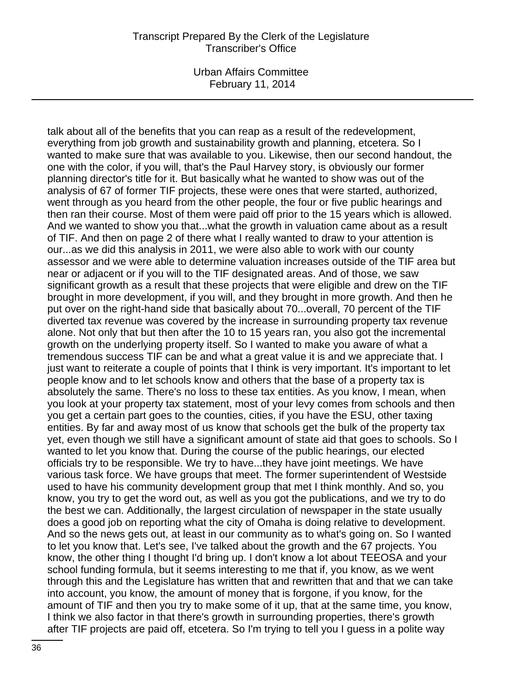Urban Affairs Committee February 11, 2014

talk about all of the benefits that you can reap as a result of the redevelopment, everything from job growth and sustainability growth and planning, etcetera. So I wanted to make sure that was available to you. Likewise, then our second handout, the one with the color, if you will, that's the Paul Harvey story, is obviously our former planning director's title for it. But basically what he wanted to show was out of the analysis of 67 of former TIF projects, these were ones that were started, authorized, went through as you heard from the other people, the four or five public hearings and then ran their course. Most of them were paid off prior to the 15 years which is allowed. And we wanted to show you that...what the growth in valuation came about as a result of TIF. And then on page 2 of there what I really wanted to draw to your attention is our...as we did this analysis in 2011, we were also able to work with our county assessor and we were able to determine valuation increases outside of the TIF area but near or adjacent or if you will to the TIF designated areas. And of those, we saw significant growth as a result that these projects that were eligible and drew on the TIF brought in more development, if you will, and they brought in more growth. And then he put over on the right-hand side that basically about 70...overall, 70 percent of the TIF diverted tax revenue was covered by the increase in surrounding property tax revenue alone. Not only that but then after the 10 to 15 years ran, you also got the incremental growth on the underlying property itself. So I wanted to make you aware of what a tremendous success TIF can be and what a great value it is and we appreciate that. I just want to reiterate a couple of points that I think is very important. It's important to let people know and to let schools know and others that the base of a property tax is absolutely the same. There's no loss to these tax entities. As you know, I mean, when you look at your property tax statement, most of your levy comes from schools and then you get a certain part goes to the counties, cities, if you have the ESU, other taxing entities. By far and away most of us know that schools get the bulk of the property tax yet, even though we still have a significant amount of state aid that goes to schools. So I wanted to let you know that. During the course of the public hearings, our elected officials try to be responsible. We try to have...they have joint meetings. We have various task force. We have groups that meet. The former superintendent of Westside used to have his community development group that met I think monthly. And so, you know, you try to get the word out, as well as you got the publications, and we try to do the best we can. Additionally, the largest circulation of newspaper in the state usually does a good job on reporting what the city of Omaha is doing relative to development. And so the news gets out, at least in our community as to what's going on. So I wanted to let you know that. Let's see, I've talked about the growth and the 67 projects. You know, the other thing I thought I'd bring up. I don't know a lot about TEEOSA and your school funding formula, but it seems interesting to me that if, you know, as we went through this and the Legislature has written that and rewritten that and that we can take into account, you know, the amount of money that is forgone, if you know, for the amount of TIF and then you try to make some of it up, that at the same time, you know, I think we also factor in that there's growth in surrounding properties, there's growth after TIF projects are paid off, etcetera. So I'm trying to tell you I guess in a polite way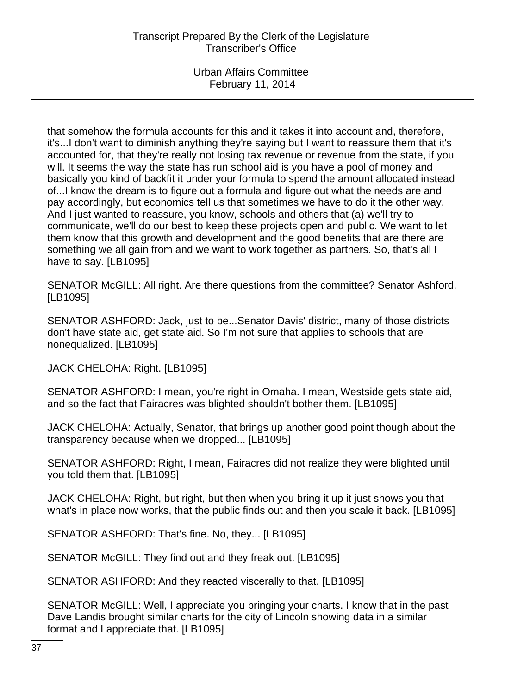that somehow the formula accounts for this and it takes it into account and, therefore, it's...I don't want to diminish anything they're saying but I want to reassure them that it's accounted for, that they're really not losing tax revenue or revenue from the state, if you will. It seems the way the state has run school aid is you have a pool of money and basically you kind of backfit it under your formula to spend the amount allocated instead of...I know the dream is to figure out a formula and figure out what the needs are and pay accordingly, but economics tell us that sometimes we have to do it the other way. And I just wanted to reassure, you know, schools and others that (a) we'll try to communicate, we'll do our best to keep these projects open and public. We want to let them know that this growth and development and the good benefits that are there are something we all gain from and we want to work together as partners. So, that's all I have to say. [LB1095]

SENATOR McGILL: All right. Are there questions from the committee? Senator Ashford. [LB1095]

SENATOR ASHFORD: Jack, just to be...Senator Davis' district, many of those districts don't have state aid, get state aid. So I'm not sure that applies to schools that are nonequalized. [LB1095]

JACK CHELOHA: Right. [LB1095]

SENATOR ASHFORD: I mean, you're right in Omaha. I mean, Westside gets state aid, and so the fact that Fairacres was blighted shouldn't bother them. [LB1095]

JACK CHELOHA: Actually, Senator, that brings up another good point though about the transparency because when we dropped... [LB1095]

SENATOR ASHFORD: Right, I mean, Fairacres did not realize they were blighted until you told them that. [LB1095]

JACK CHELOHA: Right, but right, but then when you bring it up it just shows you that what's in place now works, that the public finds out and then you scale it back. [LB1095]

SENATOR ASHFORD: That's fine. No, they... [LB1095]

SENATOR McGILL: They find out and they freak out. [LB1095]

SENATOR ASHFORD: And they reacted viscerally to that. [LB1095]

SENATOR McGILL: Well, I appreciate you bringing your charts. I know that in the past Dave Landis brought similar charts for the city of Lincoln showing data in a similar format and I appreciate that. [LB1095]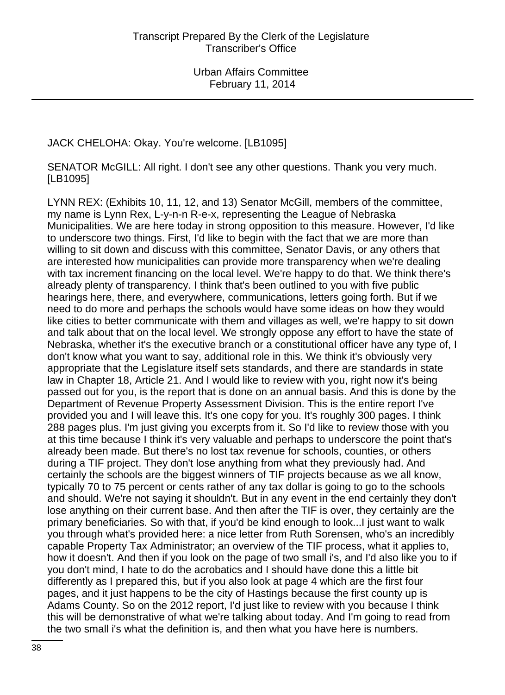## JACK CHELOHA: Okay. You're welcome. [LB1095]

SENATOR McGILL: All right. I don't see any other questions. Thank you very much. [LB1095]

LYNN REX: (Exhibits 10, 11, 12, and 13) Senator McGill, members of the committee, my name is Lynn Rex, L-y-n-n R-e-x, representing the League of Nebraska Municipalities. We are here today in strong opposition to this measure. However, I'd like to underscore two things. First, I'd like to begin with the fact that we are more than willing to sit down and discuss with this committee, Senator Davis, or any others that are interested how municipalities can provide more transparency when we're dealing with tax increment financing on the local level. We're happy to do that. We think there's already plenty of transparency. I think that's been outlined to you with five public hearings here, there, and everywhere, communications, letters going forth. But if we need to do more and perhaps the schools would have some ideas on how they would like cities to better communicate with them and villages as well, we're happy to sit down and talk about that on the local level. We strongly oppose any effort to have the state of Nebraska, whether it's the executive branch or a constitutional officer have any type of, I don't know what you want to say, additional role in this. We think it's obviously very appropriate that the Legislature itself sets standards, and there are standards in state law in Chapter 18, Article 21. And I would like to review with you, right now it's being passed out for you, is the report that is done on an annual basis. And this is done by the Department of Revenue Property Assessment Division. This is the entire report I've provided you and I will leave this. It's one copy for you. It's roughly 300 pages. I think 288 pages plus. I'm just giving you excerpts from it. So I'd like to review those with you at this time because I think it's very valuable and perhaps to underscore the point that's already been made. But there's no lost tax revenue for schools, counties, or others during a TIF project. They don't lose anything from what they previously had. And certainly the schools are the biggest winners of TIF projects because as we all know, typically 70 to 75 percent or cents rather of any tax dollar is going to go to the schools and should. We're not saying it shouldn't. But in any event in the end certainly they don't lose anything on their current base. And then after the TIF is over, they certainly are the primary beneficiaries. So with that, if you'd be kind enough to look...I just want to walk you through what's provided here: a nice letter from Ruth Sorensen, who's an incredibly capable Property Tax Administrator; an overview of the TIF process, what it applies to, how it doesn't. And then if you look on the page of two small i's, and I'd also like you to if you don't mind, I hate to do the acrobatics and I should have done this a little bit differently as I prepared this, but if you also look at page 4 which are the first four pages, and it just happens to be the city of Hastings because the first county up is Adams County. So on the 2012 report, I'd just like to review with you because I think this will be demonstrative of what we're talking about today. And I'm going to read from the two small i's what the definition is, and then what you have here is numbers.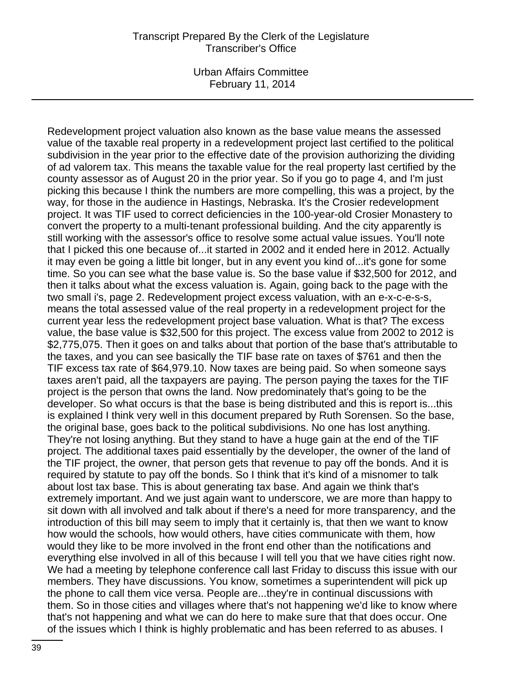Urban Affairs Committee February 11, 2014

Redevelopment project valuation also known as the base value means the assessed value of the taxable real property in a redevelopment project last certified to the political subdivision in the year prior to the effective date of the provision authorizing the dividing of ad valorem tax. This means the taxable value for the real property last certified by the county assessor as of August 20 in the prior year. So if you go to page 4, and I'm just picking this because I think the numbers are more compelling, this was a project, by the way, for those in the audience in Hastings, Nebraska. It's the Crosier redevelopment project. It was TIF used to correct deficiencies in the 100-year-old Crosier Monastery to convert the property to a multi-tenant professional building. And the city apparently is still working with the assessor's office to resolve some actual value issues. You'll note that I picked this one because of...it started in 2002 and it ended here in 2012. Actually it may even be going a little bit longer, but in any event you kind of...it's gone for some time. So you can see what the base value is. So the base value if \$32,500 for 2012, and then it talks about what the excess valuation is. Again, going back to the page with the two small i's, page 2. Redevelopment project excess valuation, with an e-x-c-e-s-s, means the total assessed value of the real property in a redevelopment project for the current year less the redevelopment project base valuation. What is that? The excess value, the base value is \$32,500 for this project. The excess value from 2002 to 2012 is \$2,775,075. Then it goes on and talks about that portion of the base that's attributable to the taxes, and you can see basically the TIF base rate on taxes of \$761 and then the TIF excess tax rate of \$64,979.10. Now taxes are being paid. So when someone says taxes aren't paid, all the taxpayers are paying. The person paying the taxes for the TIF project is the person that owns the land. Now predominately that's going to be the developer. So what occurs is that the base is being distributed and this is report is...this is explained I think very well in this document prepared by Ruth Sorensen. So the base, the original base, goes back to the political subdivisions. No one has lost anything. They're not losing anything. But they stand to have a huge gain at the end of the TIF project. The additional taxes paid essentially by the developer, the owner of the land of the TIF project, the owner, that person gets that revenue to pay off the bonds. And it is required by statute to pay off the bonds. So I think that it's kind of a misnomer to talk about lost tax base. This is about generating tax base. And again we think that's extremely important. And we just again want to underscore, we are more than happy to sit down with all involved and talk about if there's a need for more transparency, and the introduction of this bill may seem to imply that it certainly is, that then we want to know how would the schools, how would others, have cities communicate with them, how would they like to be more involved in the front end other than the notifications and everything else involved in all of this because I will tell you that we have cities right now. We had a meeting by telephone conference call last Friday to discuss this issue with our members. They have discussions. You know, sometimes a superintendent will pick up the phone to call them vice versa. People are...they're in continual discussions with them. So in those cities and villages where that's not happening we'd like to know where that's not happening and what we can do here to make sure that that does occur. One of the issues which I think is highly problematic and has been referred to as abuses. I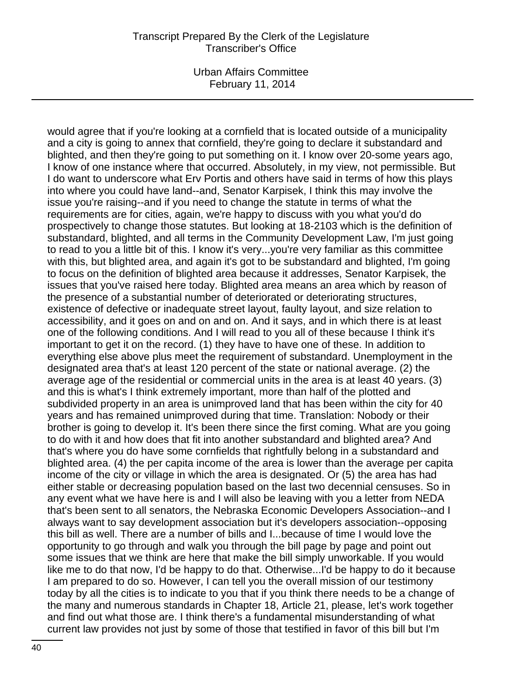Urban Affairs Committee February 11, 2014

would agree that if you're looking at a cornfield that is located outside of a municipality and a city is going to annex that cornfield, they're going to declare it substandard and blighted, and then they're going to put something on it. I know over 20-some years ago, I know of one instance where that occurred. Absolutely, in my view, not permissible. But I do want to underscore what Erv Portis and others have said in terms of how this plays into where you could have land--and, Senator Karpisek, I think this may involve the issue you're raising--and if you need to change the statute in terms of what the requirements are for cities, again, we're happy to discuss with you what you'd do prospectively to change those statutes. But looking at 18-2103 which is the definition of substandard, blighted, and all terms in the Community Development Law, I'm just going to read to you a little bit of this. I know it's very...you're very familiar as this committee with this, but blighted area, and again it's got to be substandard and blighted, I'm going to focus on the definition of blighted area because it addresses, Senator Karpisek, the issues that you've raised here today. Blighted area means an area which by reason of the presence of a substantial number of deteriorated or deteriorating structures, existence of defective or inadequate street layout, faulty layout, and size relation to accessibility, and it goes on and on and on. And it says, and in which there is at least one of the following conditions. And I will read to you all of these because I think it's important to get it on the record. (1) they have to have one of these. In addition to everything else above plus meet the requirement of substandard. Unemployment in the designated area that's at least 120 percent of the state or national average. (2) the average age of the residential or commercial units in the area is at least 40 years. (3) and this is what's I think extremely important, more than half of the plotted and subdivided property in an area is unimproved land that has been within the city for 40 years and has remained unimproved during that time. Translation: Nobody or their brother is going to develop it. It's been there since the first coming. What are you going to do with it and how does that fit into another substandard and blighted area? And that's where you do have some cornfields that rightfully belong in a substandard and blighted area. (4) the per capita income of the area is lower than the average per capita income of the city or village in which the area is designated. Or (5) the area has had either stable or decreasing population based on the last two decennial censuses. So in any event what we have here is and I will also be leaving with you a letter from NEDA that's been sent to all senators, the Nebraska Economic Developers Association--and I always want to say development association but it's developers association--opposing this bill as well. There are a number of bills and I...because of time I would love the opportunity to go through and walk you through the bill page by page and point out some issues that we think are here that make the bill simply unworkable. If you would like me to do that now, I'd be happy to do that. Otherwise...I'd be happy to do it because I am prepared to do so. However, I can tell you the overall mission of our testimony today by all the cities is to indicate to you that if you think there needs to be a change of the many and numerous standards in Chapter 18, Article 21, please, let's work together and find out what those are. I think there's a fundamental misunderstanding of what current law provides not just by some of those that testified in favor of this bill but I'm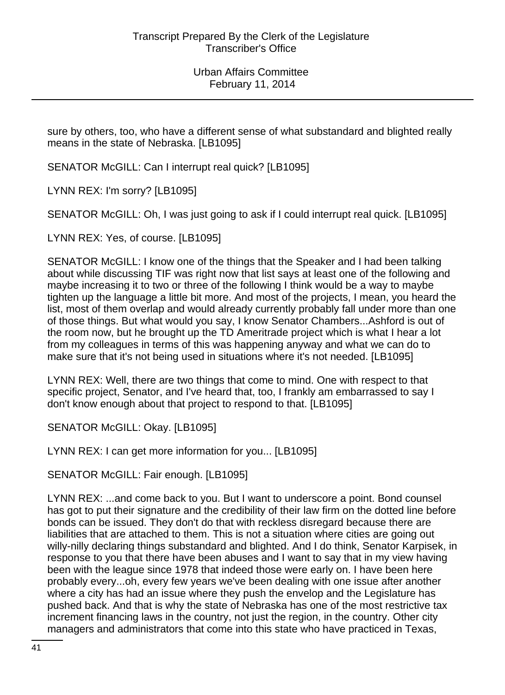sure by others, too, who have a different sense of what substandard and blighted really means in the state of Nebraska. [LB1095]

SENATOR McGILL: Can I interrupt real quick? [LB1095]

LYNN REX: I'm sorry? [LB1095]

SENATOR McGILL: Oh, I was just going to ask if I could interrupt real quick. [LB1095]

LYNN REX: Yes, of course. [LB1095]

SENATOR McGILL: I know one of the things that the Speaker and I had been talking about while discussing TIF was right now that list says at least one of the following and maybe increasing it to two or three of the following I think would be a way to maybe tighten up the language a little bit more. And most of the projects, I mean, you heard the list, most of them overlap and would already currently probably fall under more than one of those things. But what would you say, I know Senator Chambers...Ashford is out of the room now, but he brought up the TD Ameritrade project which is what I hear a lot from my colleagues in terms of this was happening anyway and what we can do to make sure that it's not being used in situations where it's not needed. [LB1095]

LYNN REX: Well, there are two things that come to mind. One with respect to that specific project, Senator, and I've heard that, too, I frankly am embarrassed to say I don't know enough about that project to respond to that. [LB1095]

SENATOR McGILL: Okay. [LB1095]

LYNN REX: I can get more information for you... [LB1095]

SENATOR McGILL: Fair enough. [LB1095]

LYNN REX: ...and come back to you. But I want to underscore a point. Bond counsel has got to put their signature and the credibility of their law firm on the dotted line before bonds can be issued. They don't do that with reckless disregard because there are liabilities that are attached to them. This is not a situation where cities are going out willy-nilly declaring things substandard and blighted. And I do think, Senator Karpisek, in response to you that there have been abuses and I want to say that in my view having been with the league since 1978 that indeed those were early on. I have been here probably every...oh, every few years we've been dealing with one issue after another where a city has had an issue where they push the envelop and the Legislature has pushed back. And that is why the state of Nebraska has one of the most restrictive tax increment financing laws in the country, not just the region, in the country. Other city managers and administrators that come into this state who have practiced in Texas,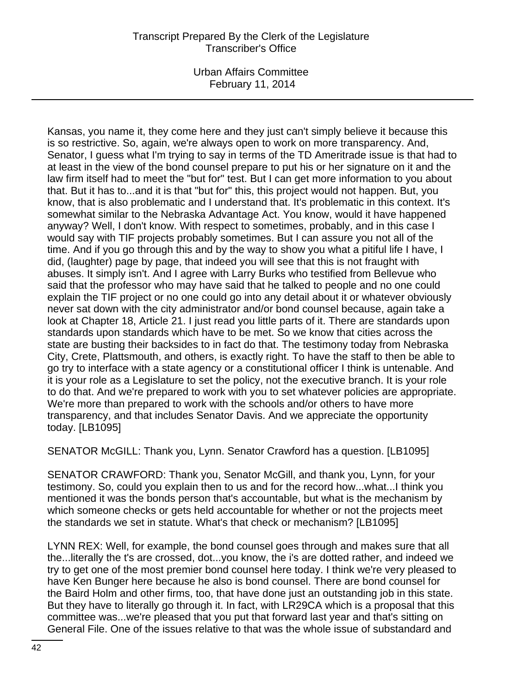Urban Affairs Committee February 11, 2014

Kansas, you name it, they come here and they just can't simply believe it because this is so restrictive. So, again, we're always open to work on more transparency. And, Senator, I guess what I'm trying to say in terms of the TD Ameritrade issue is that had to at least in the view of the bond counsel prepare to put his or her signature on it and the law firm itself had to meet the "but for" test. But I can get more information to you about that. But it has to...and it is that "but for" this, this project would not happen. But, you know, that is also problematic and I understand that. It's problematic in this context. It's somewhat similar to the Nebraska Advantage Act. You know, would it have happened anyway? Well, I don't know. With respect to sometimes, probably, and in this case I would say with TIF projects probably sometimes. But I can assure you not all of the time. And if you go through this and by the way to show you what a pitiful life I have, I did, (laughter) page by page, that indeed you will see that this is not fraught with abuses. It simply isn't. And I agree with Larry Burks who testified from Bellevue who said that the professor who may have said that he talked to people and no one could explain the TIF project or no one could go into any detail about it or whatever obviously never sat down with the city administrator and/or bond counsel because, again take a look at Chapter 18, Article 21. I just read you little parts of it. There are standards upon standards upon standards which have to be met. So we know that cities across the state are busting their backsides to in fact do that. The testimony today from Nebraska City, Crete, Plattsmouth, and others, is exactly right. To have the staff to then be able to go try to interface with a state agency or a constitutional officer I think is untenable. And it is your role as a Legislature to set the policy, not the executive branch. It is your role to do that. And we're prepared to work with you to set whatever policies are appropriate. We're more than prepared to work with the schools and/or others to have more transparency, and that includes Senator Davis. And we appreciate the opportunity today. [LB1095]

SENATOR McGILL: Thank you, Lynn. Senator Crawford has a question. [LB1095]

SENATOR CRAWFORD: Thank you, Senator McGill, and thank you, Lynn, for your testimony. So, could you explain then to us and for the record how...what...I think you mentioned it was the bonds person that's accountable, but what is the mechanism by which someone checks or gets held accountable for whether or not the projects meet the standards we set in statute. What's that check or mechanism? [LB1095]

LYNN REX: Well, for example, the bond counsel goes through and makes sure that all the...literally the t's are crossed, dot...you know, the i's are dotted rather, and indeed we try to get one of the most premier bond counsel here today. I think we're very pleased to have Ken Bunger here because he also is bond counsel. There are bond counsel for the Baird Holm and other firms, too, that have done just an outstanding job in this state. But they have to literally go through it. In fact, with LR29CA which is a proposal that this committee was...we're pleased that you put that forward last year and that's sitting on General File. One of the issues relative to that was the whole issue of substandard and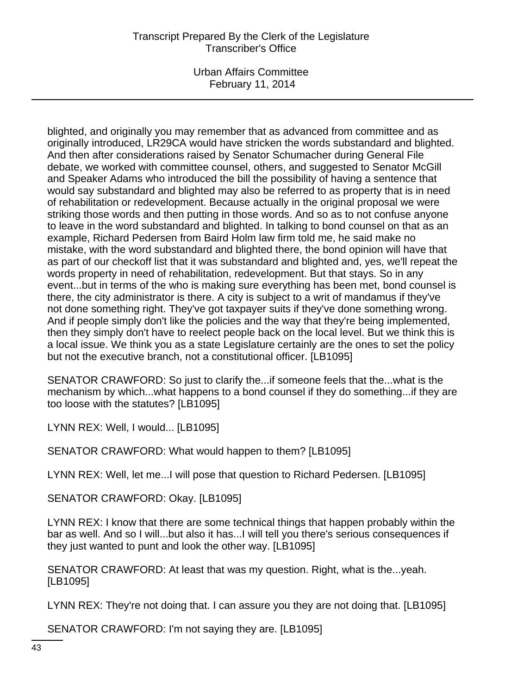Urban Affairs Committee February 11, 2014

blighted, and originally you may remember that as advanced from committee and as originally introduced, LR29CA would have stricken the words substandard and blighted. And then after considerations raised by Senator Schumacher during General File debate, we worked with committee counsel, others, and suggested to Senator McGill and Speaker Adams who introduced the bill the possibility of having a sentence that would say substandard and blighted may also be referred to as property that is in need of rehabilitation or redevelopment. Because actually in the original proposal we were striking those words and then putting in those words. And so as to not confuse anyone to leave in the word substandard and blighted. In talking to bond counsel on that as an example, Richard Pedersen from Baird Holm law firm told me, he said make no mistake, with the word substandard and blighted there, the bond opinion will have that as part of our checkoff list that it was substandard and blighted and, yes, we'll repeat the words property in need of rehabilitation, redevelopment. But that stays. So in any event...but in terms of the who is making sure everything has been met, bond counsel is there, the city administrator is there. A city is subject to a writ of mandamus if they've not done something right. They've got taxpayer suits if they've done something wrong. And if people simply don't like the policies and the way that they're being implemented, then they simply don't have to reelect people back on the local level. But we think this is a local issue. We think you as a state Legislature certainly are the ones to set the policy but not the executive branch, not a constitutional officer. [LB1095]

SENATOR CRAWFORD: So just to clarify the...if someone feels that the...what is the mechanism by which...what happens to a bond counsel if they do something...if they are too loose with the statutes? [LB1095]

LYNN REX: Well, I would... [LB1095]

SENATOR CRAWFORD: What would happen to them? [LB1095]

LYNN REX: Well, let me...I will pose that question to Richard Pedersen. [LB1095]

SENATOR CRAWFORD: Okay. [LB1095]

LYNN REX: I know that there are some technical things that happen probably within the bar as well. And so I will...but also it has...I will tell you there's serious consequences if they just wanted to punt and look the other way. [LB1095]

SENATOR CRAWFORD: At least that was my question. Right, what is the...yeah. [LB1095]

LYNN REX: They're not doing that. I can assure you they are not doing that. [LB1095]

SENATOR CRAWFORD: I'm not saying they are. [LB1095]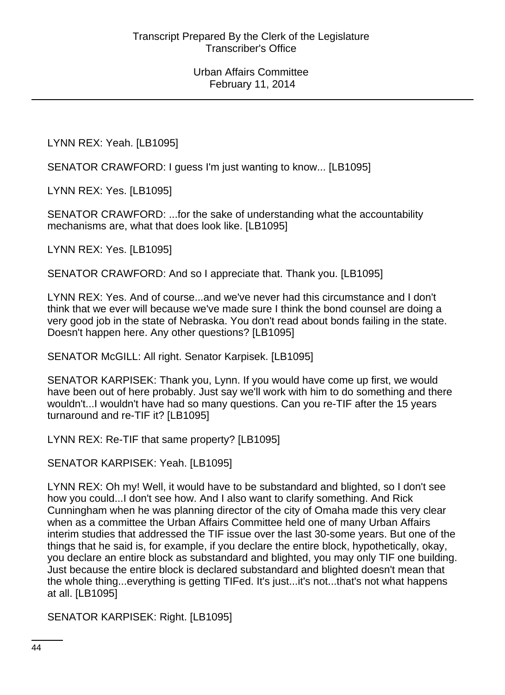LYNN REX: Yeah. [LB1095]

SENATOR CRAWFORD: I guess I'm just wanting to know... [LB1095]

LYNN REX: Yes. [LB1095]

SENATOR CRAWFORD: ...for the sake of understanding what the accountability mechanisms are, what that does look like. [LB1095]

LYNN REX: Yes. [LB1095]

SENATOR CRAWFORD: And so I appreciate that. Thank you. [LB1095]

LYNN REX: Yes. And of course...and we've never had this circumstance and I don't think that we ever will because we've made sure I think the bond counsel are doing a very good job in the state of Nebraska. You don't read about bonds failing in the state. Doesn't happen here. Any other questions? [LB1095]

SENATOR McGILL: All right. Senator Karpisek. [LB1095]

SENATOR KARPISEK: Thank you, Lynn. If you would have come up first, we would have been out of here probably. Just say we'll work with him to do something and there wouldn't...I wouldn't have had so many questions. Can you re-TIF after the 15 years turnaround and re-TIF it? [LB1095]

LYNN REX: Re-TIF that same property? [LB1095]

SENATOR KARPISEK: Yeah. [LB1095]

LYNN REX: Oh my! Well, it would have to be substandard and blighted, so I don't see how you could...I don't see how. And I also want to clarify something. And Rick Cunningham when he was planning director of the city of Omaha made this very clear when as a committee the Urban Affairs Committee held one of many Urban Affairs interim studies that addressed the TIF issue over the last 30-some years. But one of the things that he said is, for example, if you declare the entire block, hypothetically, okay, you declare an entire block as substandard and blighted, you may only TIF one building. Just because the entire block is declared substandard and blighted doesn't mean that the whole thing...everything is getting TIFed. It's just...it's not...that's not what happens at all. [LB1095]

SENATOR KARPISEK: Right. [LB1095]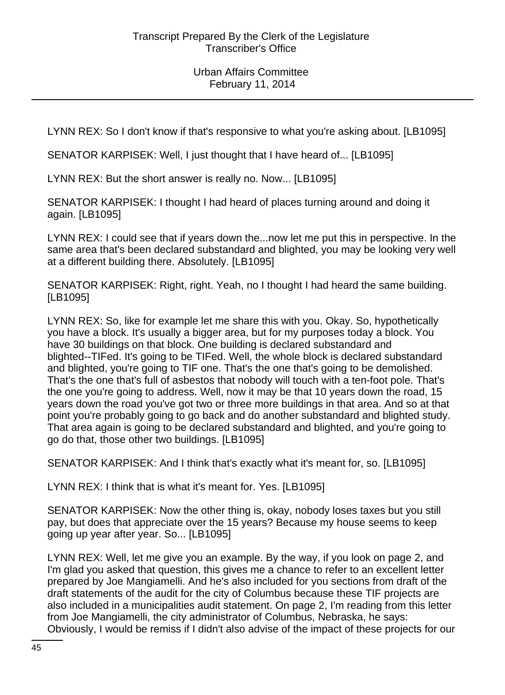LYNN REX: So I don't know if that's responsive to what you're asking about. [LB1095]

SENATOR KARPISEK: Well, I just thought that I have heard of... [LB1095]

LYNN REX: But the short answer is really no. Now... [LB1095]

SENATOR KARPISEK: I thought I had heard of places turning around and doing it again. [LB1095]

LYNN REX: I could see that if years down the...now let me put this in perspective. In the same area that's been declared substandard and blighted, you may be looking very well at a different building there. Absolutely. [LB1095]

SENATOR KARPISEK: Right, right. Yeah, no I thought I had heard the same building. [LB1095]

LYNN REX: So, like for example let me share this with you. Okay. So, hypothetically you have a block. It's usually a bigger area, but for my purposes today a block. You have 30 buildings on that block. One building is declared substandard and blighted--TIFed. It's going to be TIFed. Well, the whole block is declared substandard and blighted, you're going to TIF one. That's the one that's going to be demolished. That's the one that's full of asbestos that nobody will touch with a ten-foot pole. That's the one you're going to address. Well, now it may be that 10 years down the road, 15 years down the road you've got two or three more buildings in that area. And so at that point you're probably going to go back and do another substandard and blighted study. That area again is going to be declared substandard and blighted, and you're going to go do that, those other two buildings. [LB1095]

SENATOR KARPISEK: And I think that's exactly what it's meant for, so. [LB1095]

LYNN REX: I think that is what it's meant for. Yes. [LB1095]

SENATOR KARPISEK: Now the other thing is, okay, nobody loses taxes but you still pay, but does that appreciate over the 15 years? Because my house seems to keep going up year after year. So... [LB1095]

LYNN REX: Well, let me give you an example. By the way, if you look on page 2, and I'm glad you asked that question, this gives me a chance to refer to an excellent letter prepared by Joe Mangiamelli. And he's also included for you sections from draft of the draft statements of the audit for the city of Columbus because these TIF projects are also included in a municipalities audit statement. On page 2, I'm reading from this letter from Joe Mangiamelli, the city administrator of Columbus, Nebraska, he says: Obviously, I would be remiss if I didn't also advise of the impact of these projects for our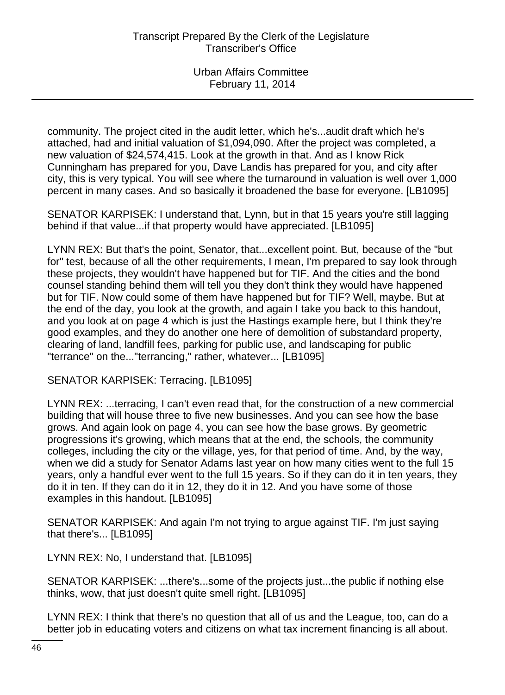community. The project cited in the audit letter, which he's...audit draft which he's attached, had and initial valuation of \$1,094,090. After the project was completed, a new valuation of \$24,574,415. Look at the growth in that. And as I know Rick Cunningham has prepared for you, Dave Landis has prepared for you, and city after city, this is very typical. You will see where the turnaround in valuation is well over 1,000 percent in many cases. And so basically it broadened the base for everyone. [LB1095]

SENATOR KARPISEK: I understand that, Lynn, but in that 15 years you're still lagging behind if that value...if that property would have appreciated. [LB1095]

LYNN REX: But that's the point, Senator, that...excellent point. But, because of the "but for" test, because of all the other requirements, I mean, I'm prepared to say look through these projects, they wouldn't have happened but for TIF. And the cities and the bond counsel standing behind them will tell you they don't think they would have happened but for TIF. Now could some of them have happened but for TIF? Well, maybe. But at the end of the day, you look at the growth, and again I take you back to this handout, and you look at on page 4 which is just the Hastings example here, but I think they're good examples, and they do another one here of demolition of substandard property, clearing of land, landfill fees, parking for public use, and landscaping for public "terrance" on the..."terrancing," rather, whatever... [LB1095]

SENATOR KARPISEK: Terracing. [LB1095]

LYNN REX: ...terracing, I can't even read that, for the construction of a new commercial building that will house three to five new businesses. And you can see how the base grows. And again look on page 4, you can see how the base grows. By geometric progressions it's growing, which means that at the end, the schools, the community colleges, including the city or the village, yes, for that period of time. And, by the way, when we did a study for Senator Adams last year on how many cities went to the full 15 years, only a handful ever went to the full 15 years. So if they can do it in ten years, they do it in ten. If they can do it in 12, they do it in 12. And you have some of those examples in this handout. [LB1095]

SENATOR KARPISEK: And again I'm not trying to argue against TIF. I'm just saying that there's... [LB1095]

LYNN REX: No, I understand that. [LB1095]

SENATOR KARPISEK: ...there's...some of the projects just...the public if nothing else thinks, wow, that just doesn't quite smell right. [LB1095]

LYNN REX: I think that there's no question that all of us and the League, too, can do a better job in educating voters and citizens on what tax increment financing is all about.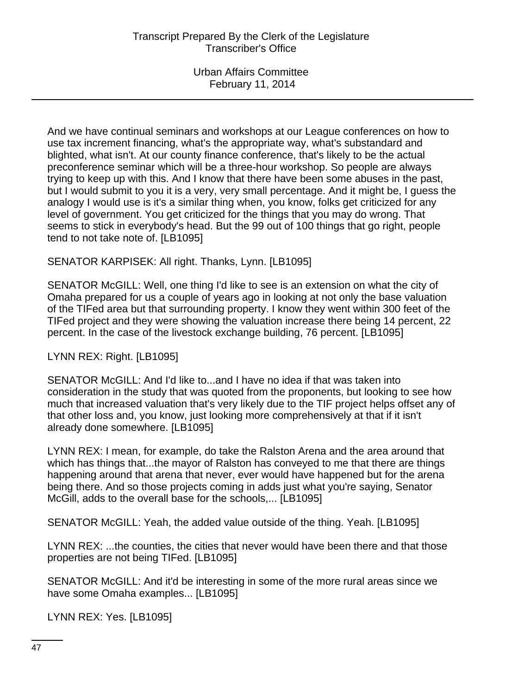And we have continual seminars and workshops at our League conferences on how to use tax increment financing, what's the appropriate way, what's substandard and blighted, what isn't. At our county finance conference, that's likely to be the actual preconference seminar which will be a three-hour workshop. So people are always trying to keep up with this. And I know that there have been some abuses in the past, but I would submit to you it is a very, very small percentage. And it might be, I guess the analogy I would use is it's a similar thing when, you know, folks get criticized for any level of government. You get criticized for the things that you may do wrong. That seems to stick in everybody's head. But the 99 out of 100 things that go right, people tend to not take note of. [LB1095]

## SENATOR KARPISEK: All right. Thanks, Lynn. [LB1095]

SENATOR McGILL: Well, one thing I'd like to see is an extension on what the city of Omaha prepared for us a couple of years ago in looking at not only the base valuation of the TIFed area but that surrounding property. I know they went within 300 feet of the TIFed project and they were showing the valuation increase there being 14 percent, 22 percent. In the case of the livestock exchange building, 76 percent. [LB1095]

# LYNN REX: Right. [LB1095]

SENATOR McGILL: And I'd like to...and I have no idea if that was taken into consideration in the study that was quoted from the proponents, but looking to see how much that increased valuation that's very likely due to the TIF project helps offset any of that other loss and, you know, just looking more comprehensively at that if it isn't already done somewhere. [LB1095]

LYNN REX: I mean, for example, do take the Ralston Arena and the area around that which has things that...the mayor of Ralston has conveyed to me that there are things happening around that arena that never, ever would have happened but for the arena being there. And so those projects coming in adds just what you're saying, Senator McGill, adds to the overall base for the schools,... [LB1095]

SENATOR McGILL: Yeah, the added value outside of the thing. Yeah. [LB1095]

LYNN REX: ...the counties, the cities that never would have been there and that those properties are not being TIFed. [LB1095]

SENATOR McGILL: And it'd be interesting in some of the more rural areas since we have some Omaha examples... [LB1095]

LYNN REX: Yes. [LB1095]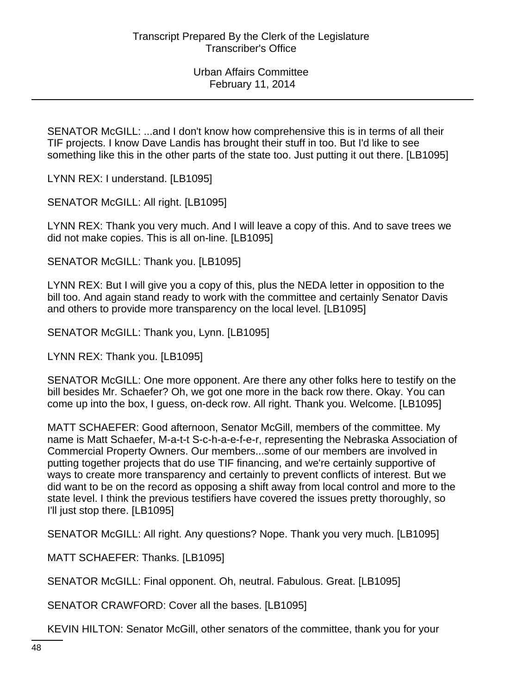SENATOR McGILL: ...and I don't know how comprehensive this is in terms of all their TIF projects. I know Dave Landis has brought their stuff in too. But I'd like to see something like this in the other parts of the state too. Just putting it out there. [LB1095]

LYNN REX: I understand. [LB1095]

SENATOR McGILL: All right. [LB1095]

LYNN REX: Thank you very much. And I will leave a copy of this. And to save trees we did not make copies. This is all on-line. [LB1095]

SENATOR McGILL: Thank you. [LB1095]

LYNN REX: But I will give you a copy of this, plus the NEDA letter in opposition to the bill too. And again stand ready to work with the committee and certainly Senator Davis and others to provide more transparency on the local level. [LB1095]

SENATOR McGILL: Thank you, Lynn. [LB1095]

LYNN REX: Thank you. [LB1095]

SENATOR McGILL: One more opponent. Are there any other folks here to testify on the bill besides Mr. Schaefer? Oh, we got one more in the back row there. Okay. You can come up into the box, I guess, on-deck row. All right. Thank you. Welcome. [LB1095]

MATT SCHAEFER: Good afternoon, Senator McGill, members of the committee. My name is Matt Schaefer, M-a-t-t S-c-h-a-e-f-e-r, representing the Nebraska Association of Commercial Property Owners. Our members...some of our members are involved in putting together projects that do use TIF financing, and we're certainly supportive of ways to create more transparency and certainly to prevent conflicts of interest. But we did want to be on the record as opposing a shift away from local control and more to the state level. I think the previous testifiers have covered the issues pretty thoroughly, so I'll just stop there. [LB1095]

SENATOR McGILL: All right. Any questions? Nope. Thank you very much. [LB1095]

MATT SCHAEFER: Thanks. [LB1095]

SENATOR McGILL: Final opponent. Oh, neutral. Fabulous. Great. [LB1095]

SENATOR CRAWFORD: Cover all the bases. [LB1095]

KEVIN HILTON: Senator McGill, other senators of the committee, thank you for your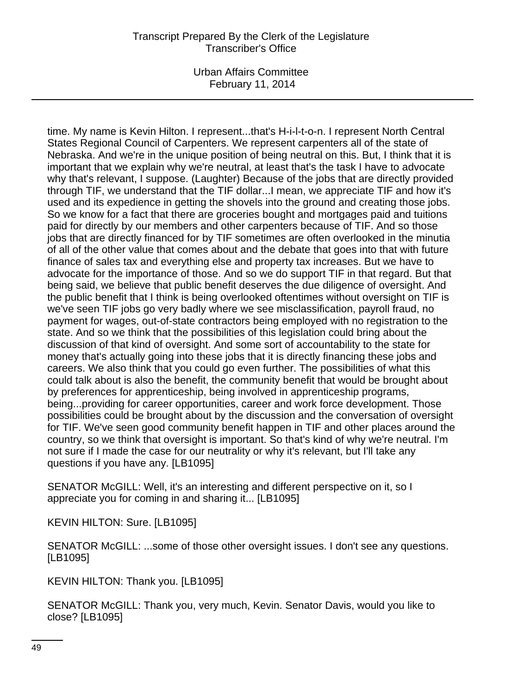Urban Affairs Committee February 11, 2014

time. My name is Kevin Hilton. I represent...that's H-i-l-t-o-n. I represent North Central States Regional Council of Carpenters. We represent carpenters all of the state of Nebraska. And we're in the unique position of being neutral on this. But, I think that it is important that we explain why we're neutral, at least that's the task I have to advocate why that's relevant, I suppose. (Laughter) Because of the jobs that are directly provided through TIF, we understand that the TIF dollar...I mean, we appreciate TIF and how it's used and its expedience in getting the shovels into the ground and creating those jobs. So we know for a fact that there are groceries bought and mortgages paid and tuitions paid for directly by our members and other carpenters because of TIF. And so those jobs that are directly financed for by TIF sometimes are often overlooked in the minutia of all of the other value that comes about and the debate that goes into that with future finance of sales tax and everything else and property tax increases. But we have to advocate for the importance of those. And so we do support TIF in that regard. But that being said, we believe that public benefit deserves the due diligence of oversight. And the public benefit that I think is being overlooked oftentimes without oversight on TIF is we've seen TIF jobs go very badly where we see misclassification, payroll fraud, no payment for wages, out-of-state contractors being employed with no registration to the state. And so we think that the possibilities of this legislation could bring about the discussion of that kind of oversight. And some sort of accountability to the state for money that's actually going into these jobs that it is directly financing these jobs and careers. We also think that you could go even further. The possibilities of what this could talk about is also the benefit, the community benefit that would be brought about by preferences for apprenticeship, being involved in apprenticeship programs, being...providing for career opportunities, career and work force development. Those possibilities could be brought about by the discussion and the conversation of oversight for TIF. We've seen good community benefit happen in TIF and other places around the country, so we think that oversight is important. So that's kind of why we're neutral. I'm not sure if I made the case for our neutrality or why it's relevant, but I'll take any questions if you have any. [LB1095]

SENATOR McGILL: Well, it's an interesting and different perspective on it, so I appreciate you for coming in and sharing it... [LB1095]

KEVIN HILTON: Sure. [LB1095]

SENATOR McGILL: ...some of those other oversight issues. I don't see any questions. [LB1095]

KEVIN HILTON: Thank you. [LB1095]

SENATOR McGILL: Thank you, very much, Kevin. Senator Davis, would you like to close? [LB1095]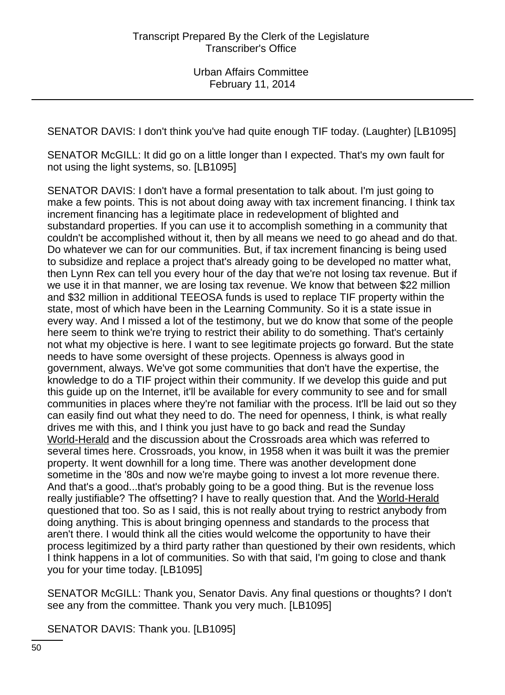SENATOR DAVIS: I don't think you've had quite enough TIF today. (Laughter) [LB1095]

SENATOR McGILL: It did go on a little longer than I expected. That's my own fault for not using the light systems, so. [LB1095]

SENATOR DAVIS: I don't have a formal presentation to talk about. I'm just going to make a few points. This is not about doing away with tax increment financing. I think tax increment financing has a legitimate place in redevelopment of blighted and substandard properties. If you can use it to accomplish something in a community that couldn't be accomplished without it, then by all means we need to go ahead and do that. Do whatever we can for our communities. But, if tax increment financing is being used to subsidize and replace a project that's already going to be developed no matter what, then Lynn Rex can tell you every hour of the day that we're not losing tax revenue. But if we use it in that manner, we are losing tax revenue. We know that between \$22 million and \$32 million in additional TEEOSA funds is used to replace TIF property within the state, most of which have been in the Learning Community. So it is a state issue in every way. And I missed a lot of the testimony, but we do know that some of the people here seem to think we're trying to restrict their ability to do something. That's certainly not what my objective is here. I want to see legitimate projects go forward. But the state needs to have some oversight of these projects. Openness is always good in government, always. We've got some communities that don't have the expertise, the knowledge to do a TIF project within their community. If we develop this guide and put this guide up on the Internet, it'll be available for every community to see and for small communities in places where they're not familiar with the process. It'll be laid out so they can easily find out what they need to do. The need for openness, I think, is what really drives me with this, and I think you just have to go back and read the Sunday World-Herald and the discussion about the Crossroads area which was referred to several times here. Crossroads, you know, in 1958 when it was built it was the premier property. It went downhill for a long time. There was another development done sometime in the '80s and now we're maybe going to invest a lot more revenue there. And that's a good...that's probably going to be a good thing. But is the revenue loss really justifiable? The offsetting? I have to really question that. And the World-Herald questioned that too. So as I said, this is not really about trying to restrict anybody from doing anything. This is about bringing openness and standards to the process that aren't there. I would think all the cities would welcome the opportunity to have their process legitimized by a third party rather than questioned by their own residents, which I think happens in a lot of communities. So with that said, I'm going to close and thank you for your time today. [LB1095]

SENATOR McGILL: Thank you, Senator Davis. Any final questions or thoughts? I don't see any from the committee. Thank you very much. [LB1095]

SENATOR DAVIS: Thank you. [LB1095]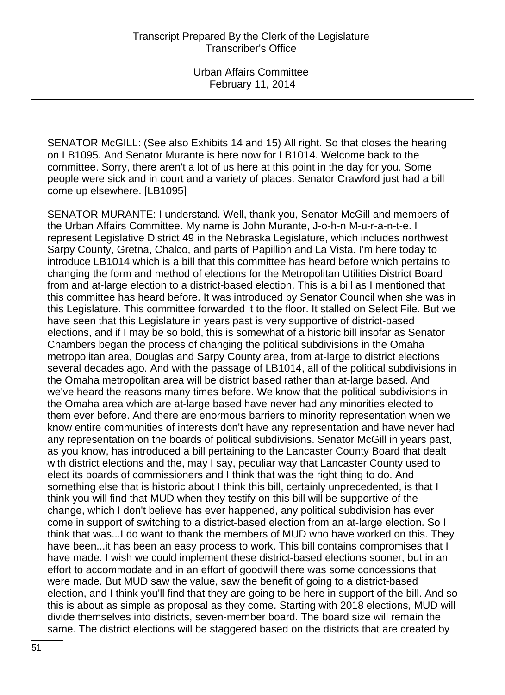SENATOR McGILL: (See also Exhibits 14 and 15) All right. So that closes the hearing on LB1095. And Senator Murante is here now for LB1014. Welcome back to the committee. Sorry, there aren't a lot of us here at this point in the day for you. Some people were sick and in court and a variety of places. Senator Crawford just had a bill come up elsewhere. [LB1095]

SENATOR MURANTE: I understand. Well, thank you, Senator McGill and members of the Urban Affairs Committee. My name is John Murante, J-o-h-n M-u-r-a-n-t-e. I represent Legislative District 49 in the Nebraska Legislature, which includes northwest Sarpy County, Gretna, Chalco, and parts of Papillion and La Vista. I'm here today to introduce LB1014 which is a bill that this committee has heard before which pertains to changing the form and method of elections for the Metropolitan Utilities District Board from and at-large election to a district-based election. This is a bill as I mentioned that this committee has heard before. It was introduced by Senator Council when she was in this Legislature. This committee forwarded it to the floor. It stalled on Select File. But we have seen that this Legislature in years past is very supportive of district-based elections, and if I may be so bold, this is somewhat of a historic bill insofar as Senator Chambers began the process of changing the political subdivisions in the Omaha metropolitan area, Douglas and Sarpy County area, from at-large to district elections several decades ago. And with the passage of LB1014, all of the political subdivisions in the Omaha metropolitan area will be district based rather than at-large based. And we've heard the reasons many times before. We know that the political subdivisions in the Omaha area which are at-large based have never had any minorities elected to them ever before. And there are enormous barriers to minority representation when we know entire communities of interests don't have any representation and have never had any representation on the boards of political subdivisions. Senator McGill in years past, as you know, has introduced a bill pertaining to the Lancaster County Board that dealt with district elections and the, may I say, peculiar way that Lancaster County used to elect its boards of commissioners and I think that was the right thing to do. And something else that is historic about I think this bill, certainly unprecedented, is that I think you will find that MUD when they testify on this bill will be supportive of the change, which I don't believe has ever happened, any political subdivision has ever come in support of switching to a district-based election from an at-large election. So I think that was...I do want to thank the members of MUD who have worked on this. They have been...it has been an easy process to work. This bill contains compromises that I have made. I wish we could implement these district-based elections sooner, but in an effort to accommodate and in an effort of goodwill there was some concessions that were made. But MUD saw the value, saw the benefit of going to a district-based election, and I think you'll find that they are going to be here in support of the bill. And so this is about as simple as proposal as they come. Starting with 2018 elections, MUD will divide themselves into districts, seven-member board. The board size will remain the same. The district elections will be staggered based on the districts that are created by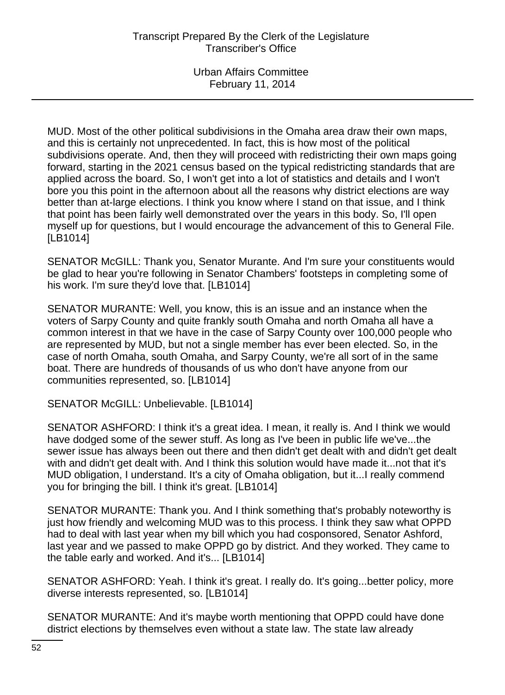MUD. Most of the other political subdivisions in the Omaha area draw their own maps, and this is certainly not unprecedented. In fact, this is how most of the political subdivisions operate. And, then they will proceed with redistricting their own maps going forward, starting in the 2021 census based on the typical redistricting standards that are applied across the board. So, I won't get into a lot of statistics and details and I won't bore you this point in the afternoon about all the reasons why district elections are way better than at-large elections. I think you know where I stand on that issue, and I think that point has been fairly well demonstrated over the years in this body. So, I'll open myself up for questions, but I would encourage the advancement of this to General File. [LB1014]

SENATOR McGILL: Thank you, Senator Murante. And I'm sure your constituents would be glad to hear you're following in Senator Chambers' footsteps in completing some of his work. I'm sure they'd love that. [LB1014]

SENATOR MURANTE: Well, you know, this is an issue and an instance when the voters of Sarpy County and quite frankly south Omaha and north Omaha all have a common interest in that we have in the case of Sarpy County over 100,000 people who are represented by MUD, but not a single member has ever been elected. So, in the case of north Omaha, south Omaha, and Sarpy County, we're all sort of in the same boat. There are hundreds of thousands of us who don't have anyone from our communities represented, so. [LB1014]

SENATOR McGILL: Unbelievable. [LB1014]

SENATOR ASHFORD: I think it's a great idea. I mean, it really is. And I think we would have dodged some of the sewer stuff. As long as I've been in public life we've...the sewer issue has always been out there and then didn't get dealt with and didn't get dealt with and didn't get dealt with. And I think this solution would have made it...not that it's MUD obligation, I understand. It's a city of Omaha obligation, but it...I really commend you for bringing the bill. I think it's great. [LB1014]

SENATOR MURANTE: Thank you. And I think something that's probably noteworthy is just how friendly and welcoming MUD was to this process. I think they saw what OPPD had to deal with last year when my bill which you had cosponsored, Senator Ashford, last year and we passed to make OPPD go by district. And they worked. They came to the table early and worked. And it's... [LB1014]

SENATOR ASHFORD: Yeah. I think it's great. I really do. It's going...better policy, more diverse interests represented, so. [LB1014]

SENATOR MURANTE: And it's maybe worth mentioning that OPPD could have done district elections by themselves even without a state law. The state law already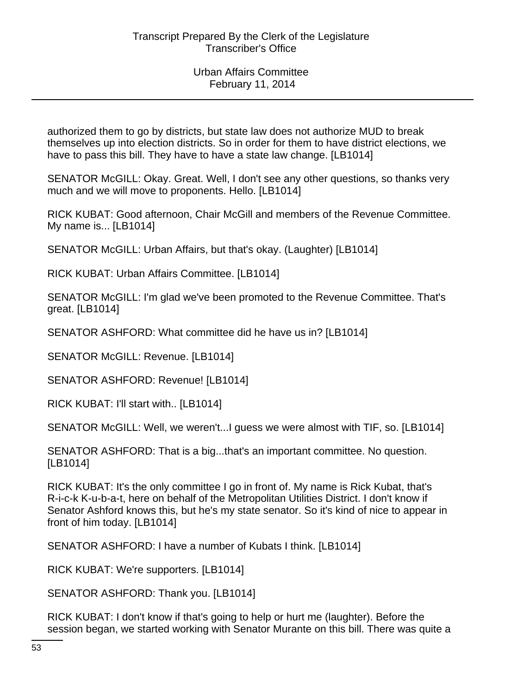authorized them to go by districts, but state law does not authorize MUD to break themselves up into election districts. So in order for them to have district elections, we have to pass this bill. They have to have a state law change. [LB1014]

SENATOR McGILL: Okay. Great. Well, I don't see any other questions, so thanks very much and we will move to proponents. Hello. [LB1014]

RICK KUBAT: Good afternoon, Chair McGill and members of the Revenue Committee. My name is... [LB1014]

SENATOR McGILL: Urban Affairs, but that's okay. (Laughter) [LB1014]

RICK KUBAT: Urban Affairs Committee. [LB1014]

SENATOR McGILL: I'm glad we've been promoted to the Revenue Committee. That's great. [LB1014]

SENATOR ASHFORD: What committee did he have us in? [LB1014]

SENATOR McGILL: Revenue. [LB1014]

SENATOR ASHFORD: Revenue! [LB1014]

RICK KUBAT: I'll start with.. [LB1014]

SENATOR McGILL: Well, we weren't...I guess we were almost with TIF, so. [LB1014]

SENATOR ASHFORD: That is a big...that's an important committee. No question. [LB1014]

RICK KUBAT: It's the only committee I go in front of. My name is Rick Kubat, that's R-i-c-k K-u-b-a-t, here on behalf of the Metropolitan Utilities District. I don't know if Senator Ashford knows this, but he's my state senator. So it's kind of nice to appear in front of him today. [LB1014]

SENATOR ASHFORD: I have a number of Kubats I think. [LB1014]

RICK KUBAT: We're supporters. [LB1014]

SENATOR ASHFORD: Thank you. [LB1014]

RICK KUBAT: I don't know if that's going to help or hurt me (laughter). Before the session began, we started working with Senator Murante on this bill. There was quite a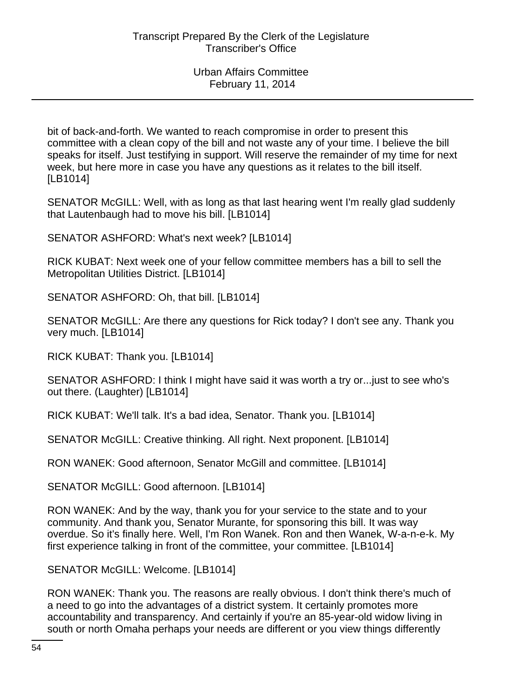bit of back-and-forth. We wanted to reach compromise in order to present this committee with a clean copy of the bill and not waste any of your time. I believe the bill speaks for itself. Just testifying in support. Will reserve the remainder of my time for next week, but here more in case you have any questions as it relates to the bill itself. [LB1014]

SENATOR McGILL: Well, with as long as that last hearing went I'm really glad suddenly that Lautenbaugh had to move his bill. [LB1014]

SENATOR ASHFORD: What's next week? [LB1014]

RICK KUBAT: Next week one of your fellow committee members has a bill to sell the Metropolitan Utilities District. [LB1014]

SENATOR ASHFORD: Oh, that bill. [LB1014]

SENATOR McGILL: Are there any questions for Rick today? I don't see any. Thank you very much. [LB1014]

RICK KUBAT: Thank you. [LB1014]

SENATOR ASHFORD: I think I might have said it was worth a try or...just to see who's out there. (Laughter) [LB1014]

RICK KUBAT: We'll talk. It's a bad idea, Senator. Thank you. [LB1014]

SENATOR McGILL: Creative thinking. All right. Next proponent. [LB1014]

RON WANEK: Good afternoon, Senator McGill and committee. [LB1014]

SENATOR McGILL: Good afternoon. [LB1014]

RON WANEK: And by the way, thank you for your service to the state and to your community. And thank you, Senator Murante, for sponsoring this bill. It was way overdue. So it's finally here. Well, I'm Ron Wanek. Ron and then Wanek, W-a-n-e-k. My first experience talking in front of the committee, your committee. [LB1014]

SENATOR McGILL: Welcome. [LB1014]

RON WANEK: Thank you. The reasons are really obvious. I don't think there's much of a need to go into the advantages of a district system. It certainly promotes more accountability and transparency. And certainly if you're an 85-year-old widow living in south or north Omaha perhaps your needs are different or you view things differently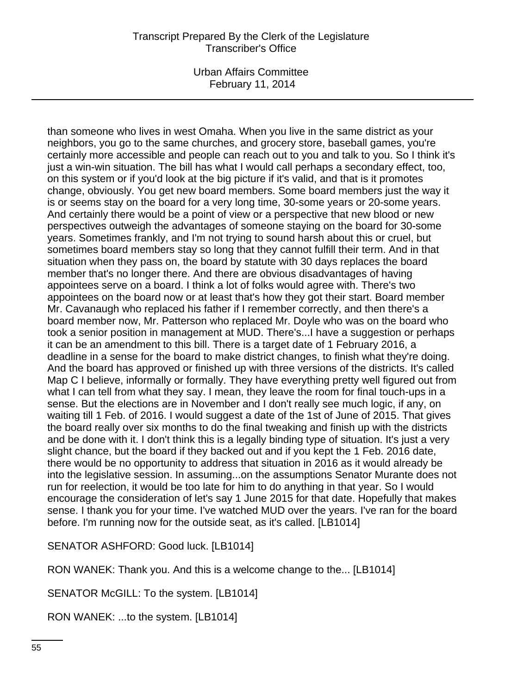Urban Affairs Committee February 11, 2014

than someone who lives in west Omaha. When you live in the same district as your neighbors, you go to the same churches, and grocery store, baseball games, you're certainly more accessible and people can reach out to you and talk to you. So I think it's just a win-win situation. The bill has what I would call perhaps a secondary effect, too, on this system or if you'd look at the big picture if it's valid, and that is it promotes change, obviously. You get new board members. Some board members just the way it is or seems stay on the board for a very long time, 30-some years or 20-some years. And certainly there would be a point of view or a perspective that new blood or new perspectives outweigh the advantages of someone staying on the board for 30-some years. Sometimes frankly, and I'm not trying to sound harsh about this or cruel, but sometimes board members stay so long that they cannot fulfill their term. And in that situation when they pass on, the board by statute with 30 days replaces the board member that's no longer there. And there are obvious disadvantages of having appointees serve on a board. I think a lot of folks would agree with. There's two appointees on the board now or at least that's how they got their start. Board member Mr. Cavanaugh who replaced his father if I remember correctly, and then there's a board member now, Mr. Patterson who replaced Mr. Doyle who was on the board who took a senior position in management at MUD. There's...I have a suggestion or perhaps it can be an amendment to this bill. There is a target date of 1 February 2016, a deadline in a sense for the board to make district changes, to finish what they're doing. And the board has approved or finished up with three versions of the districts. It's called Map C I believe, informally or formally. They have everything pretty well figured out from what I can tell from what they say. I mean, they leave the room for final touch-ups in a sense. But the elections are in November and I don't really see much logic, if any, on waiting till 1 Feb. of 2016. I would suggest a date of the 1st of June of 2015. That gives the board really over six months to do the final tweaking and finish up with the districts and be done with it. I don't think this is a legally binding type of situation. It's just a very slight chance, but the board if they backed out and if you kept the 1 Feb. 2016 date, there would be no opportunity to address that situation in 2016 as it would already be into the legislative session. In assuming...on the assumptions Senator Murante does not run for reelection, it would be too late for him to do anything in that year. So I would encourage the consideration of let's say 1 June 2015 for that date. Hopefully that makes sense. I thank you for your time. I've watched MUD over the years. I've ran for the board before. I'm running now for the outside seat, as it's called. [LB1014]

SENATOR ASHFORD: Good luck. [LB1014]

RON WANEK: Thank you. And this is a welcome change to the... [LB1014]

SENATOR McGILL: To the system. [LB1014]

RON WANEK: ...to the system. [LB1014]